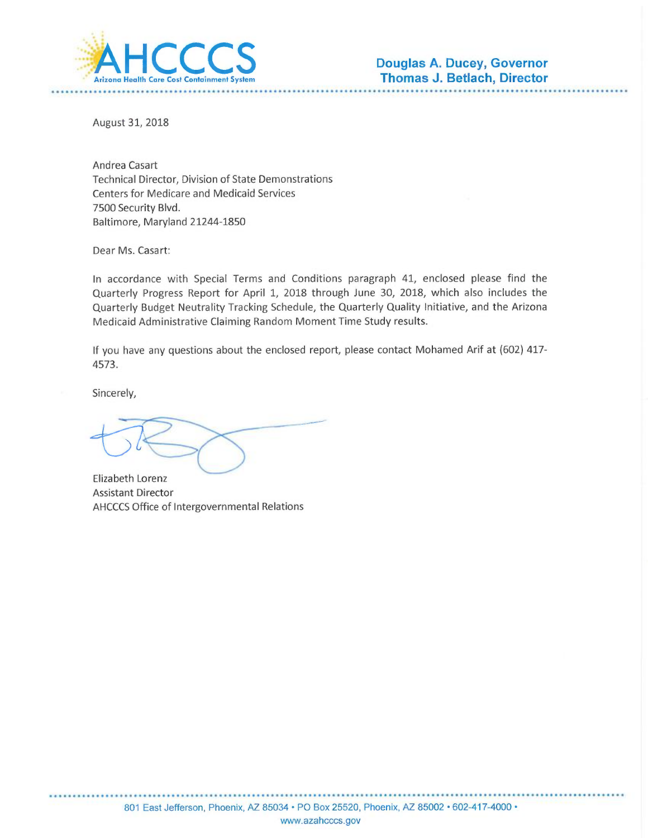

August 31, 2018

Andrea Casart Technical Director, Division of State Demonstrations **Centers for Medicare and Medicaid Services** 7500 Security Blvd. Baltimore, Maryland 21244-1850

Dear Ms. Casart:

In accordance with Special Terms and Conditions paragraph 41, enclosed please find the Quarterly Progress Report for April 1, 2018 through June 30, 2018, which also includes the Quarterly Budget Neutrality Tracking Schedule, the Quarterly Quality Initiative, and the Arizona Medicaid Administrative Claiming Random Moment Time Study results.

If you have any questions about the enclosed report, please contact Mohamed Arif at (602) 417-4573.

Sincerely,

**Elizabeth Lorenz Assistant Director** AHCCCS Office of Intergovernmental Relations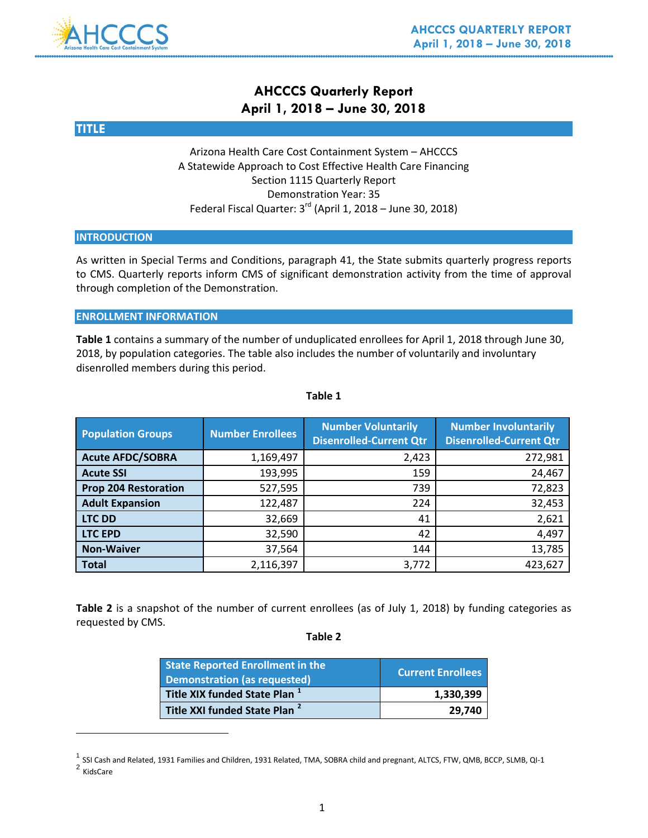### **AHCCCS Quarterly Report April 1, 2018 – June 30, 2018**



#### Arizona Health Care Cost Containment System – AHCCCS A Statewide Approach to Cost Effective Health Care Financing Section 1115 Quarterly Report Demonstration Year: 35 Federal Fiscal Quarter: 3<sup>rd</sup> (April 1, 2018 – June 30, 2018)

#### **INTRODUCTION**

As written in Special Terms and Conditions, paragraph 41, the State submits quarterly progress reports to CMS. Quarterly reports inform CMS of significant demonstration activity from the time of approval through completion of the Demonstration.

#### **ENROLLMENT INFORMATION**

**Table 1** contains a summary of the number of unduplicated enrollees for April 1, 2018 through June 30, 2018, by population categories. The table also includes the number of voluntarily and involuntary disenrolled members during this period.

| <b>Population Groups</b>    | <b>Number Enrollees</b> | <b>Number Voluntarily</b><br><b>Disenrolled-Current Qtr</b> | <b>Number Involuntarily</b><br><b>Disenrolled-Current Qtr</b> |
|-----------------------------|-------------------------|-------------------------------------------------------------|---------------------------------------------------------------|
| <b>Acute AFDC/SOBRA</b>     | 1,169,497               | 2,423                                                       | 272,981                                                       |
| <b>Acute SSI</b>            | 193,995                 | 159                                                         | 24,467                                                        |
| <b>Prop 204 Restoration</b> | 527,595                 | 739                                                         | 72,823                                                        |
| <b>Adult Expansion</b>      | 122,487                 | 224                                                         | 32,453                                                        |
| <b>LTC DD</b>               | 32,669                  | 41                                                          | 2,621                                                         |
| <b>LTC EPD</b>              | 32,590                  | 42                                                          | 4,497                                                         |
| <b>Non-Waiver</b>           | 37,564                  | 144                                                         | 13,785                                                        |
| <b>Total</b>                | 2,116,397               | 3,772                                                       | 423,627                                                       |

#### **Table 1**

**Table 2** is a snapshot of the number of current enrollees (as of July 1, 2018) by funding categories as requested by CMS.

#### **Table 2**

| <b>State Reported Enrollment in the</b><br>Demonstration (as requested) | Current Enrollees |
|-------------------------------------------------------------------------|-------------------|
| Title XIX funded State Plan <sup>1</sup>                                | 1.330.399         |
| Title XXI funded State Plan <sup>2</sup>                                | 29,740            |

 $^1$  SSI Cash and Related, 1931 Families and Children, 1931 Related, TMA, SOBRA child and pregnant, ALTCS, FTW, QMB, BCCP, SLMB, QI-1

 $\overline{a}$ 

<span id="page-1-1"></span><span id="page-1-0"></span><sup>2</sup> KidsCare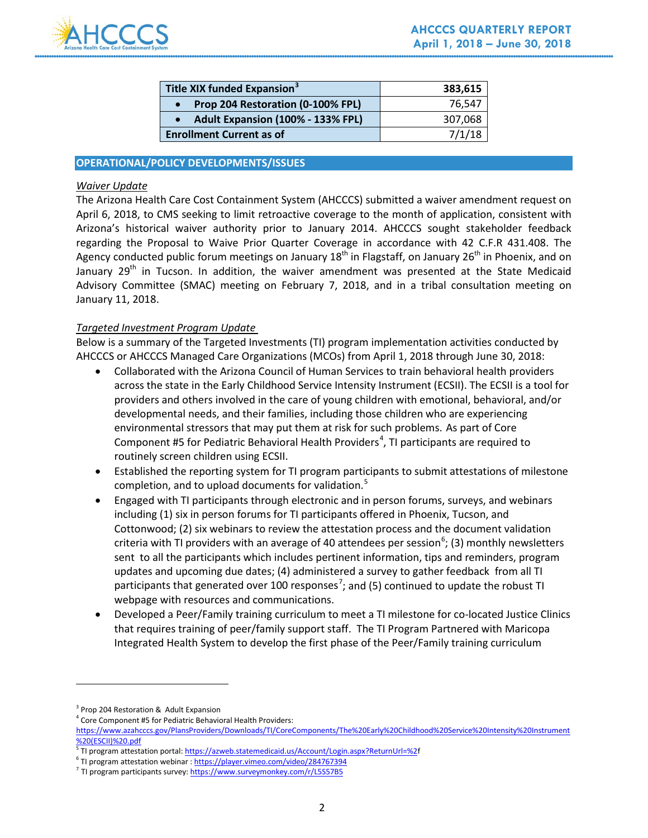

| Title XIX funded Expansion <sup>3</sup> | 383,615 |
|-----------------------------------------|---------|
| Prop 204 Restoration (0-100% FPL)       | 76.547  |
| Adult Expansion (100% - 133% FPL)       | 307,068 |
| <b>Enrollment Current as of</b>         | 7/1/18  |

#### **OPERATIONAL/POLICY DEVELOPMENTS/ISSUES**

#### *Waiver Update*

The Arizona Health Care Cost Containment System (AHCCCS) submitted a waiver amendment request on April 6, 2018, to CMS seeking to limit retroactive coverage to the month of application, consistent with Arizona's historical waiver authority prior to January 2014. AHCCCS sought stakeholder feedback regarding the Proposal to Waive Prior Quarter Coverage in accordance with 42 C.F.R 431.408. The Agency conducted public forum meetings on January 18<sup>th</sup> in Flagstaff, on January 26<sup>th</sup> in Phoenix, and on January 29<sup>th</sup> in Tucson. In addition, the waiver amendment was presented at the State Medicaid Advisory Committee (SMAC) meeting on February 7, 2018, and in a tribal consultation meeting on January 11, 2018.

#### *Targeted Investment Program Update*

Below is a summary of the Targeted Investments (TI) program implementation activities conducted by AHCCCS or AHCCCS Managed Care Organizations (MCOs) from April 1, 2018 through June 30, 2018:

- Collaborated with the Arizona Council of Human Services to train behavioral health providers across the state in the Early Childhood Service Intensity Instrument (ECSII). The ECSII is a tool for providers and others involved in the care of young children with emotional, behavioral, and/or developmental needs, and their families, including those children who are experiencing environmental stressors that may put them at risk for such problems. As part of Core Component #5 for Pediatric Behavioral Health Providers<sup>[4](#page-2-1)</sup>, TI participants are required to routinely screen children using ECSII.
- Established the reporting system for TI program participants to submit attestations of milestone completion, and to upload documents for validation.<sup>[5](#page-2-2)</sup>
- Engaged with TI participants through electronic and in person forums, surveys, and webinars including (1) six in person forums for TI participants offered in Phoenix, Tucson, and Cottonwood; (2) six webinars to review the attestation process and the document validation criteria with TI providers with an average of 40 attendees per session<sup>[6](#page-2-3)</sup>; (3) monthly newsletters sent to all the participants which includes pertinent information, tips and reminders, program updates and upcoming due dates; (4) administered a survey to gather feedback from all TI participants that generated over 100 responses<sup>[7](#page-2-4)</sup>; and (5) continued to update the robust TI webpage with resources and communications.
- Developed a Peer/Family training curriculum to meet a TI milestone for co-located Justice Clinics that requires training of peer/family support staff. The TI Program Partnered with Maricopa Integrated Health System to develop the first phase of the Peer/Family training curriculum

 $\overline{a}$ 

<span id="page-2-0"></span><sup>&</sup>lt;sup>3</sup> Prop 204 Restoration & Adult Expansion

<sup>4</sup> Core Component #5 for Pediatric Behavioral Health Providers:

<span id="page-2-1"></span>[https://www.azahcccs.gov/PlansProviders/Downloads/TI/CoreComponents/The%20Early%20Childhood%20Service%20Intensity%20Instrument](https://www.azahcccs.gov/PlansProviders/Downloads/TI/CoreComponents/The%20Early%20Childhood%20Service%20Intensity%20Instrument%20(ESCII)%20.pdf) [%20\(ESCII\)%20.pdf](https://www.azahcccs.gov/PlansProviders/Downloads/TI/CoreComponents/The%20Early%20Childhood%20Service%20Intensity%20Instrument%20(ESCII)%20.pdf)

<span id="page-2-2"></span><sup>5</sup> TI program attestation portal[: https://azweb.statemedicaid.us/Account/Login.aspx?ReturnUrl=%2f](https://azweb.statemedicaid.us/Account/Login.aspx?ReturnUrl=%252)

<span id="page-2-3"></span><sup>&</sup>lt;sup>6</sup> TI program attestation webinar [: https://player.vimeo.com/video/284767394](https://player.vimeo.com/video/284767394)

<span id="page-2-4"></span><sup>&</sup>lt;sup>7</sup> TI program participants survey[: https://www.surveymonkey.com/r/L5S57B5](https://www.surveymonkey.com/r/L5S57B5)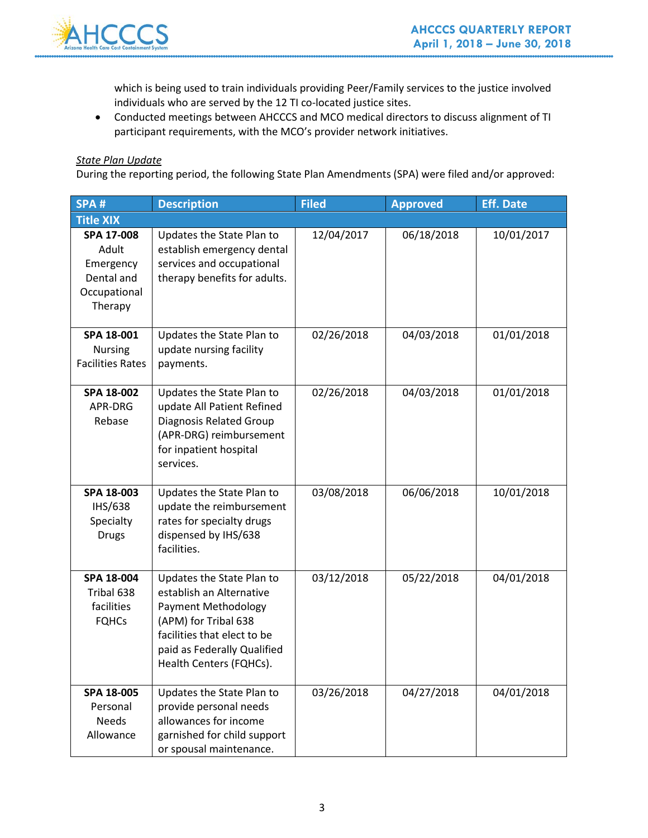

which is being used to train individuals providing Peer/Family services to the justice involved individuals who are served by the 12 TI co-located justice sites.

• Conducted meetings between AHCCCS and MCO medical directors to discuss alignment of TI participant requirements, with the MCO's provider network initiatives.

#### *State Plan Update*

During the reporting period, the following State Plan Amendments (SPA) were filed and/or approved:

| SPA#                                                                      | <b>Description</b>                                                                                                                                                                            | <b>Filed</b> | <b>Approved</b> | <b>Eff. Date</b> |
|---------------------------------------------------------------------------|-----------------------------------------------------------------------------------------------------------------------------------------------------------------------------------------------|--------------|-----------------|------------------|
| <b>Title XIX</b>                                                          |                                                                                                                                                                                               |              |                 |                  |
| SPA 17-008<br>Adult<br>Emergency<br>Dental and<br>Occupational<br>Therapy | Updates the State Plan to<br>establish emergency dental<br>services and occupational<br>therapy benefits for adults.                                                                          | 12/04/2017   | 06/18/2018      | 10/01/2017       |
| SPA 18-001<br><b>Nursing</b><br><b>Facilities Rates</b>                   | Updates the State Plan to<br>update nursing facility<br>payments.                                                                                                                             | 02/26/2018   | 04/03/2018      | 01/01/2018       |
| SPA 18-002<br>APR-DRG<br>Rebase                                           | Updates the State Plan to<br>update All Patient Refined<br><b>Diagnosis Related Group</b><br>(APR-DRG) reimbursement<br>for inpatient hospital<br>services.                                   | 02/26/2018   | 04/03/2018      | 01/01/2018       |
| SPA 18-003<br>IHS/638<br>Specialty<br><b>Drugs</b>                        | Updates the State Plan to<br>update the reimbursement<br>rates for specialty drugs<br>dispensed by IHS/638<br>facilities.                                                                     | 03/08/2018   | 06/06/2018      | 10/01/2018       |
| SPA 18-004<br>Tribal 638<br>facilities<br><b>FQHCs</b>                    | Updates the State Plan to<br>establish an Alternative<br>Payment Methodology<br>(APM) for Tribal 638<br>facilities that elect to be<br>paid as Federally Qualified<br>Health Centers (FQHCs). | 03/12/2018   | 05/22/2018      | 04/01/2018       |
| SPA 18-005<br>Personal<br><b>Needs</b><br>Allowance                       | Updates the State Plan to<br>provide personal needs<br>allowances for income<br>garnished for child support<br>or spousal maintenance.                                                        | 03/26/2018   | 04/27/2018      | 04/01/2018       |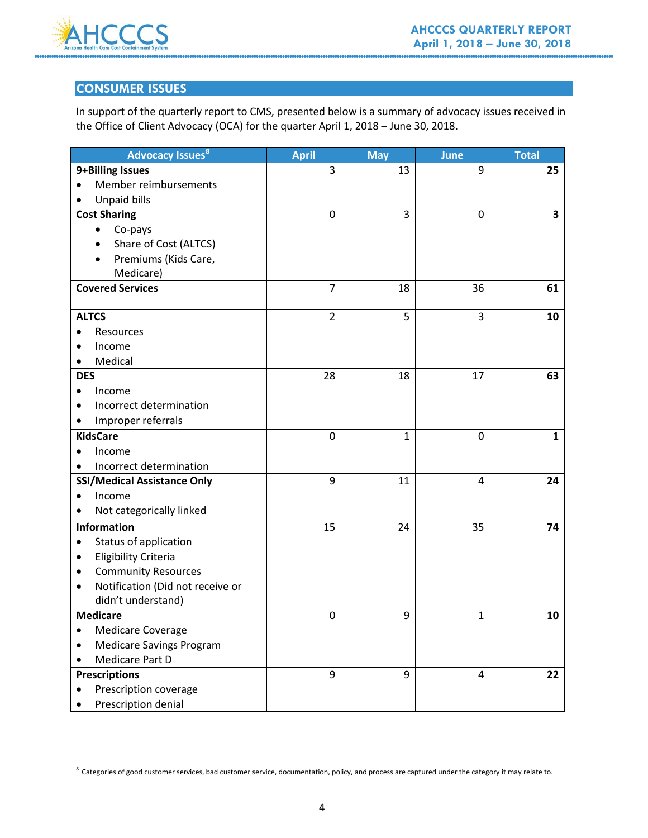

 $\overline{a}$ 

### **CONSUMER ISSUES**

In support of the quarterly report to CMS, presented below is a summary of advocacy issues received in the Office of Client Advocacy (OCA) for the quarter April 1, 2018 – June 30, 2018.

| <b>Advocacy Issues<sup>8</sup></b>            | <b>April</b>   | <b>May</b> | June | <b>Total</b> |
|-----------------------------------------------|----------------|------------|------|--------------|
| 9+Billing Issues                              | 3              | 13         | 9    | 25           |
| Member reimbursements<br>$\bullet$            |                |            |      |              |
| <b>Unpaid bills</b>                           |                |            |      |              |
| <b>Cost Sharing</b>                           | 0              | 3          | 0    | 3            |
| Co-pays                                       |                |            |      |              |
| Share of Cost (ALTCS)                         |                |            |      |              |
| Premiums (Kids Care,                          |                |            |      |              |
| Medicare)                                     |                |            |      |              |
| <b>Covered Services</b>                       | $\overline{7}$ | 18         | 36   | 61           |
|                                               |                |            |      |              |
| <b>ALTCS</b>                                  | $\overline{2}$ | 5          | 3    | 10           |
| Resources<br>٠                                |                |            |      |              |
| Income                                        |                |            |      |              |
| Medical                                       |                |            |      |              |
| <b>DES</b>                                    | 28             | 18         | 17   | 63           |
| Income                                        |                |            |      |              |
| Incorrect determination<br>$\bullet$          |                |            |      |              |
| Improper referrals<br>٠                       |                |            |      |              |
| <b>KidsCare</b>                               | 0              | 1          | 0    | $\mathbf{1}$ |
| Income                                        |                |            |      |              |
| Incorrect determination<br>٠                  |                |            |      |              |
| <b>SSI/Medical Assistance Only</b>            | 9              | 11         | 4    | 24           |
| Income<br>$\bullet$                           |                |            |      |              |
| Not categorically linked                      |                |            |      |              |
| <b>Information</b>                            | 15             | 24         | 35   | 74           |
| Status of application<br>٠                    |                |            |      |              |
| <b>Eligibility Criteria</b><br>٠              |                |            |      |              |
| <b>Community Resources</b><br>٠               |                |            |      |              |
| Notification (Did not receive or<br>$\bullet$ |                |            |      |              |
| didn't understand)                            |                |            |      |              |
| <b>Medicare</b>                               | 0              | 9          | 1    | 10           |
| <b>Medicare Coverage</b>                      |                |            |      |              |
| <b>Medicare Savings Program</b>               |                |            |      |              |
| Medicare Part D                               |                |            |      |              |
| <b>Prescriptions</b>                          | 9              | 9          | 4    | 22           |
| Prescription coverage                         |                |            |      |              |
| Prescription denial                           |                |            |      |              |

<span id="page-4-0"></span> $8$  Categories of good customer services, bad customer service, documentation, policy, and process are captured under the category it may relate to.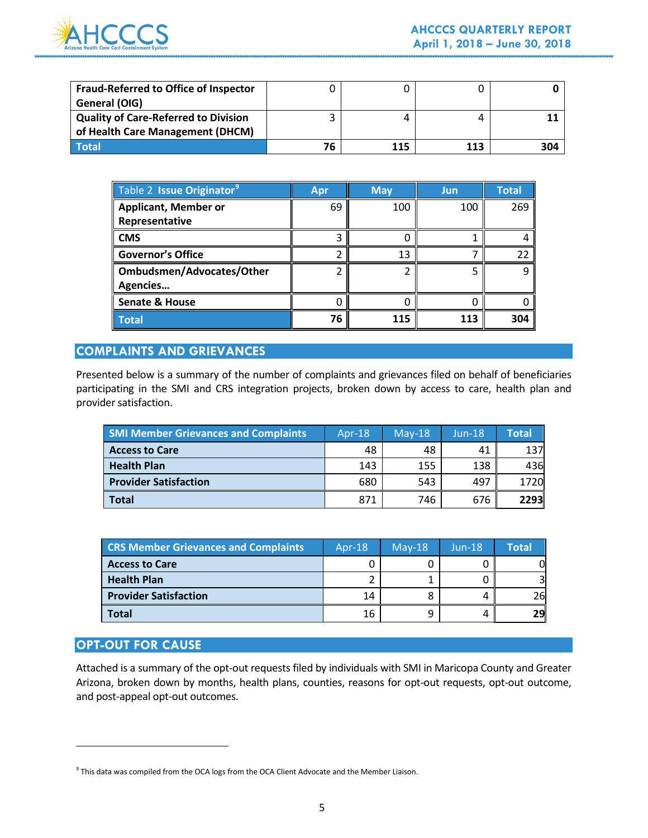

| <b>Fraud-Referred to Office of Inspector</b> |    |     |     |     |
|----------------------------------------------|----|-----|-----|-----|
| General (OIG)                                |    |     |     |     |
| <b>Quality of Care-Referred to Division</b>  |    |     | 4   |     |
| of Health Care Management (DHCM)             |    |     |     |     |
| Total                                        | 76 | 115 | 113 | 304 |

| Table 2 Issue Originator <sup>9</sup> | Apr | <b>May</b> | Jun | <b>Total</b> |
|---------------------------------------|-----|------------|-----|--------------|
| <b>Applicant, Member or</b>           | 69  | 100        | 100 | 269          |
| Representative                        |     |            |     |              |
| <b>CMS</b>                            |     |            |     |              |
| <b>Governor's Office</b>              |     | 13         |     | 22           |
| Ombudsmen/Advocates/Other             |     |            |     | q            |
| Agencies                              |     |            |     |              |
| <b>Senate &amp; House</b>             |     |            |     |              |
| <b>Total</b>                          | 76  | 115        | 113 | 304          |

#### **COMPLAINTS AND GRIEVANCES**

Presented below is a summary of the number of complaints and grievances filed on behalf of beneficiaries participating in the SMI and CRS integration projects, broken down by access to care, health plan and provider satisfaction.

| <b>SMI Member Grievances and Complaints</b> | Apr- $18$ | $May-18$ | $Jun-18$ | <b>Total</b> |
|---------------------------------------------|-----------|----------|----------|--------------|
| <b>Access to Care</b>                       | 48        | 48       | 41       | 137          |
| <b>Health Plan</b>                          | 143       | 155      | 138      | 436          |
| <b>Provider Satisfaction</b>                | 680       | 543      | 497      | 1720         |
| Total                                       | 871       | 746      | 676      | <b>2293</b>  |

| <b>CRS Member Grievances and Complaints</b> | Apr- $18$ | $Mav-18$ | $Jun-18$ | Total |
|---------------------------------------------|-----------|----------|----------|-------|
| <b>Access to Care</b>                       |           |          |          |       |
| <b>Health Plan</b>                          |           |          |          |       |
| <b>Provider Satisfaction</b>                | 14        |          |          | 261   |
| 'otal                                       | 16        |          |          | 29    |

#### **OPT-OUT FOR CAUSE**

 $\overline{a}$ 

Attached is a summary of the opt-out requests filed by individuals with SMI in Maricopa County and Greater Arizona, broken down by months, health plans, counties, reasons for opt-out requests, opt-out outcome, and post-appeal opt-out outcomes.

<span id="page-5-0"></span> $9$  This data was compiled from the OCA logs from the OCA Client Advocate and the Member Liaison.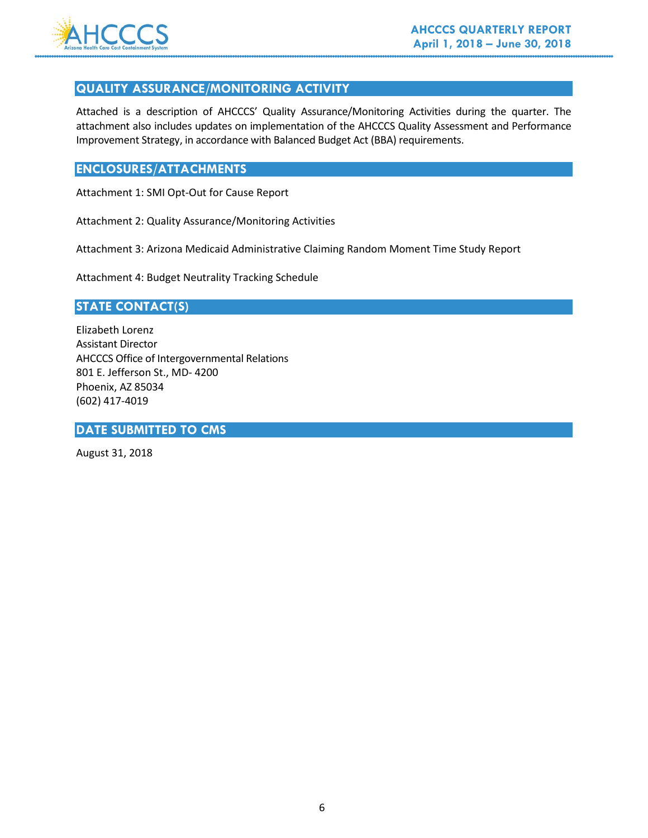

#### **QUALITY ASSURANCE/MONITORING ACTIVITY**

Attached is a description of AHCCCS' Quality Assurance/Monitoring Activities during the quarter. The attachment also includes updates on implementation of the AHCCCS Quality Assessment and Performance Improvement Strategy, in accordance with Balanced Budget Act (BBA) requirements.

### **ENCLOSURES/ATTACHMENTS**

Attachment 1: SMI Opt-Out for Cause Report

Attachment 2: Quality Assurance/Monitoring Activities

Attachment 3: Arizona Medicaid Administrative Claiming Random Moment Time Study Report

Attachment 4: Budget Neutrality Tracking Schedule

#### **STATE CONTACT(S)**

Elizabeth Lorenz Assistant Director AHCCCS Office of Intergovernmental Relations 801 E. Jefferson St., MD- 4200 Phoenix, AZ 85034 (602) 417-4019

#### **DATE SUBMITTED TO CMS**

August 31, 2018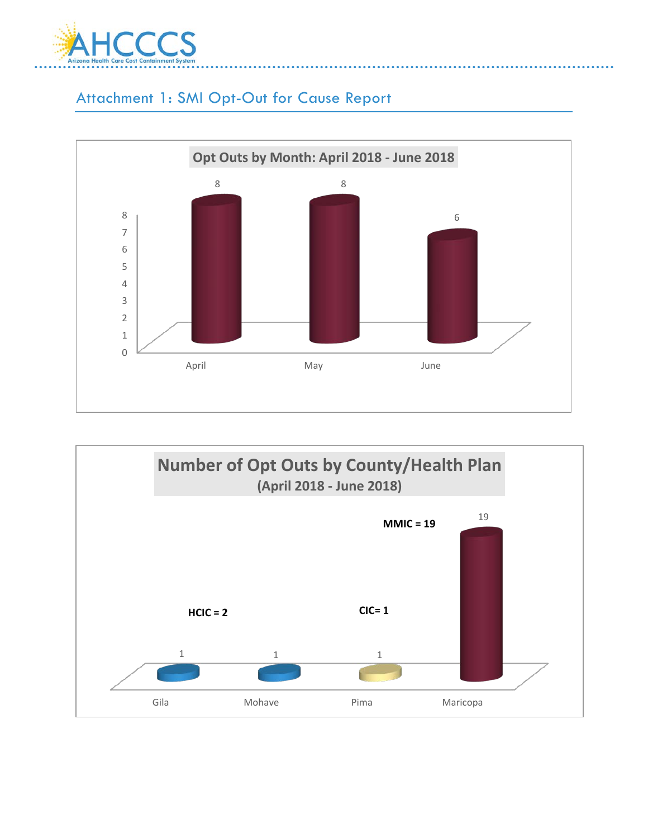

## Attachment 1: SMI Opt-Out for Cause Report



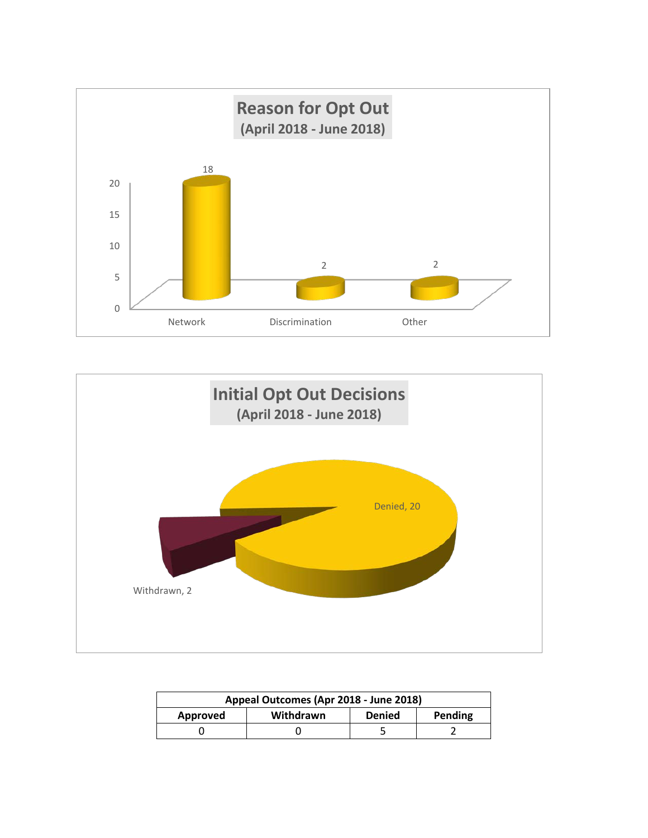



| Appeal Outcomes (Apr 2018 - June 2018) |           |               |         |
|----------------------------------------|-----------|---------------|---------|
| Approved                               | Withdrawn | <b>Denied</b> | Pending |
|                                        |           |               |         |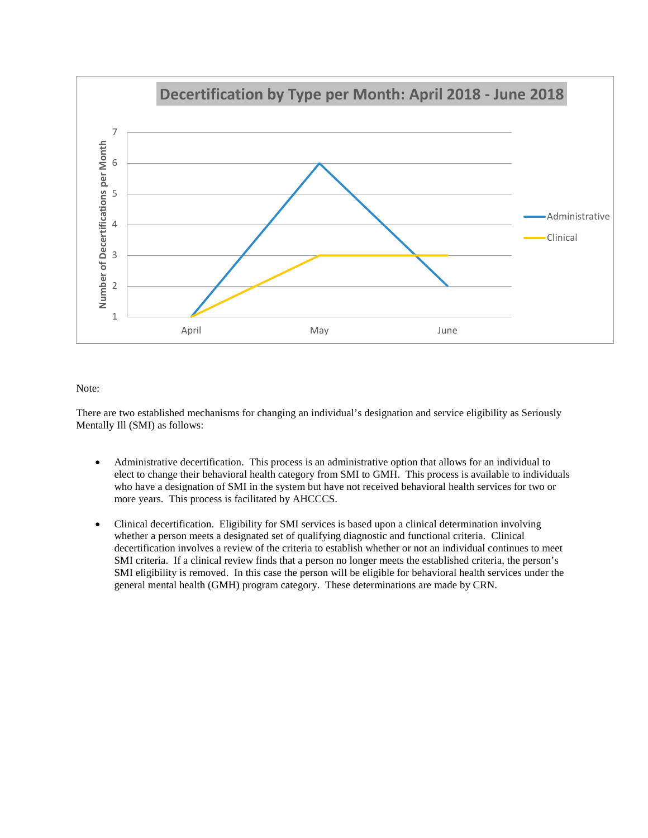

#### Note:

There are two established mechanisms for changing an individual's designation and service eligibility as Seriously Mentally Ill (SMI) as follows:

- Administrative decertification. This process is an administrative option that allows for an individual to elect to change their behavioral health category from SMI to GMH. This process is available to individuals who have a designation of SMI in the system but have not received behavioral health services for two or more years. This process is facilitated by AHCCCS.
- Clinical decertification. Eligibility for SMI services is based upon a clinical determination involving whether a person meets a designated set of qualifying diagnostic and functional criteria. Clinical decertification involves a review of the criteria to establish whether or not an individual continues to meet SMI criteria. If a clinical review finds that a person no longer meets the established criteria, the person's SMI eligibility is removed. In this case the person will be eligible for behavioral health services under the general mental health (GMH) program category. These determinations are made by CRN.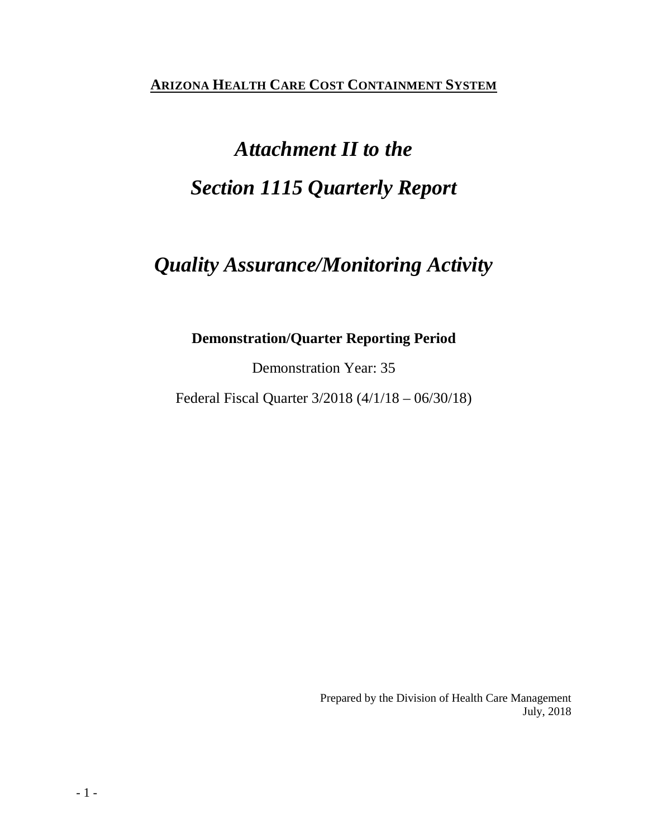**ARIZONA HEALTH CARE COST CONTAINMENT SYSTEM**

## *Attachment II to the Section 1115 Quarterly Report*

## *Quality Assurance/Monitoring Activity*

### **Demonstration/Quarter Reporting Period**

Demonstration Year: 35

Federal Fiscal Quarter 3/2018 (4/1/18 – 06/30/18)

Prepared by the Division of Health Care Management July, 2018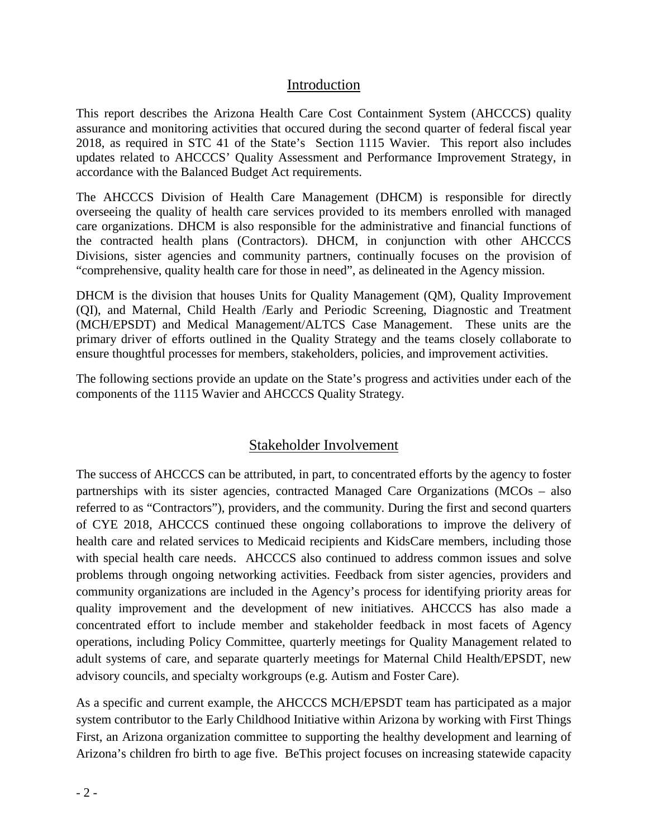### Introduction

This report describes the Arizona Health Care Cost Containment System (AHCCCS) quality assurance and monitoring activities that occured during the second quarter of federal fiscal year 2018, as required in STC 41 of the State's Section 1115 Wavier. This report also includes updates related to AHCCCS' Quality Assessment and Performance Improvement Strategy, in accordance with the Balanced Budget Act requirements.

The AHCCCS Division of Health Care Management (DHCM) is responsible for directly overseeing the quality of health care services provided to its members enrolled with managed care organizations. DHCM is also responsible for the administrative and financial functions of the contracted health plans (Contractors). DHCM, in conjunction with other AHCCCS Divisions, sister agencies and community partners, continually focuses on the provision of "comprehensive, quality health care for those in need", as delineated in the Agency mission.

DHCM is the division that houses Units for Quality Management (QM), Quality Improvement (QI), and Maternal, Child Health /Early and Periodic Screening, Diagnostic and Treatment (MCH/EPSDT) and Medical Management/ALTCS Case Management. These units are the primary driver of efforts outlined in the Quality Strategy and the teams closely collaborate to ensure thoughtful processes for members, stakeholders, policies, and improvement activities.

The following sections provide an update on the State's progress and activities under each of the components of the 1115 Wavier and AHCCCS Quality Strategy.

### Stakeholder Involvement

The success of AHCCCS can be attributed, in part, to concentrated efforts by the agency to foster partnerships with its sister agencies, contracted Managed Care Organizations (MCOs – also referred to as "Contractors"), providers, and the community. During the first and second quarters of CYE 2018, AHCCCS continued these ongoing collaborations to improve the delivery of health care and related services to Medicaid recipients and KidsCare members, including those with special health care needs. AHCCCS also continued to address common issues and solve problems through ongoing networking activities. Feedback from sister agencies, providers and community organizations are included in the Agency's process for identifying priority areas for quality improvement and the development of new initiatives. AHCCCS has also made a concentrated effort to include member and stakeholder feedback in most facets of Agency operations, including Policy Committee, quarterly meetings for Quality Management related to adult systems of care, and separate quarterly meetings for Maternal Child Health/EPSDT, new advisory councils, and specialty workgroups (e.g. Autism and Foster Care).

As a specific and current example, the AHCCCS MCH/EPSDT team has participated as a major system contributor to the Early Childhood Initiative within Arizona by working with First Things First, an Arizona organization committee to supporting the healthy development and learning of Arizona's children fro birth to age five. BeThis project focuses on increasing statewide capacity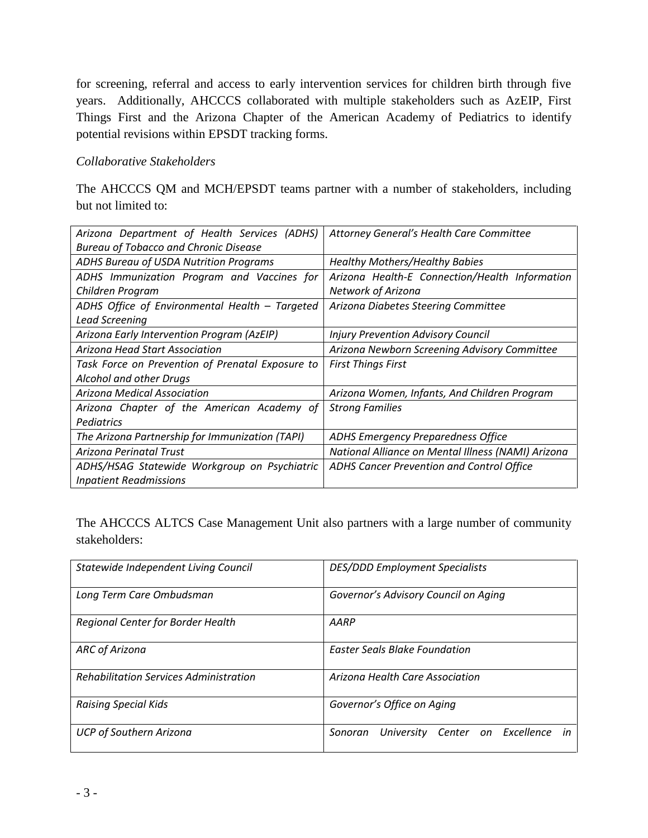for screening, referral and access to early intervention services for children birth through five years. Additionally, AHCCCS collaborated with multiple stakeholders such as AzEIP, First Things First and the Arizona Chapter of the American Academy of Pediatrics to identify potential revisions within EPSDT tracking forms.

#### *Collaborative Stakeholders*

The AHCCCS QM and MCH/EPSDT teams partner with a number of stakeholders, including but not limited to:

| Arizona Department of Health Services (ADHS)     | Attorney General's Health Care Committee           |
|--------------------------------------------------|----------------------------------------------------|
| <b>Bureau of Tobacco and Chronic Disease</b>     |                                                    |
| ADHS Bureau of USDA Nutrition Programs           | <b>Healthy Mothers/Healthy Babies</b>              |
| ADHS Immunization Program and Vaccines for       | Arizona Health-E Connection/Health Information     |
| Children Program                                 | Network of Arizona                                 |
| ADHS Office of Environmental Health - Targeted   | Arizona Diabetes Steering Committee                |
| <b>Lead Screening</b>                            |                                                    |
| Arizona Early Intervention Program (AzEIP)       | <b>Injury Prevention Advisory Council</b>          |
| Arizona Head Start Association                   | Arizona Newborn Screening Advisory Committee       |
| Task Force on Prevention of Prenatal Exposure to | <b>First Things First</b>                          |
| Alcohol and other Drugs                          |                                                    |
| Arizona Medical Association                      | Arizona Women, Infants, And Children Program       |
| Arizona Chapter of the American Academy of       | <b>Strong Families</b>                             |
| Pediatrics                                       |                                                    |
| The Arizona Partnership for Immunization (TAPI)  | <b>ADHS Emergency Preparedness Office</b>          |
| Arizona Perinatal Trust                          | National Alliance on Mental Illness (NAMI) Arizona |
| ADHS/HSAG Statewide Workgroup on Psychiatric     | ADHS Cancer Prevention and Control Office          |
| <b>Inpatient Readmissions</b>                    |                                                    |

The AHCCCS ALTCS Case Management Unit also partners with a large number of community stakeholders:

| Statewide Independent Living Council          | <b>DES/DDD Employment Specialists</b>            |
|-----------------------------------------------|--------------------------------------------------|
| Long Term Care Ombudsman                      | Governor's Advisory Council on Aging             |
| Regional Center for Border Health             | AARP                                             |
| <b>ARC of Arizona</b>                         | <b>Easter Seals Blake Foundation</b>             |
| <b>Rehabilitation Services Administration</b> | Arizona Health Care Association                  |
| <b>Raising Special Kids</b>                   | Governor's Office on Aging                       |
| <b>UCP of Southern Arizona</b>                | Center on Excellence in<br>University<br>Sonoran |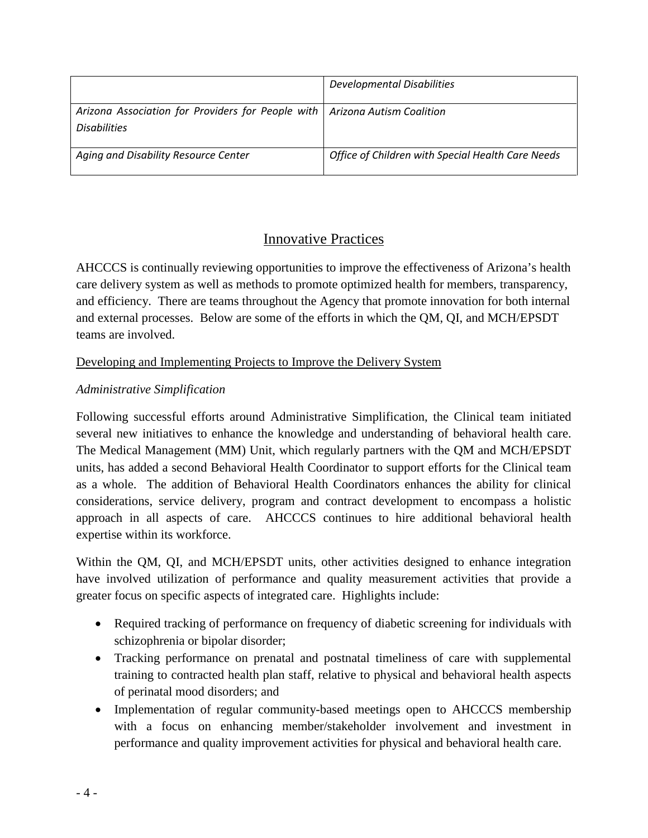|                                                                                                     | <b>Developmental Disabilities</b>                 |
|-----------------------------------------------------------------------------------------------------|---------------------------------------------------|
| Arizona Association for Providers for People with   Arizona Autism Coalition<br><b>Disabilities</b> |                                                   |
| Aging and Disability Resource Center                                                                | Office of Children with Special Health Care Needs |

### Innovative Practices

AHCCCS is continually reviewing opportunities to improve the effectiveness of Arizona's health care delivery system as well as methods to promote optimized health for members, transparency, and efficiency. There are teams throughout the Agency that promote innovation for both internal and external processes. Below are some of the efforts in which the QM, QI, and MCH/EPSDT teams are involved.

### Developing and Implementing Projects to Improve the Delivery System

### *Administrative Simplification*

Following successful efforts around Administrative Simplification, the Clinical team initiated several new initiatives to enhance the knowledge and understanding of behavioral health care. The Medical Management (MM) Unit, which regularly partners with the QM and MCH/EPSDT units, has added a second Behavioral Health Coordinator to support efforts for the Clinical team as a whole. The addition of Behavioral Health Coordinators enhances the ability for clinical considerations, service delivery, program and contract development to encompass a holistic approach in all aspects of care. AHCCCS continues to hire additional behavioral health expertise within its workforce.

Within the QM, QI, and MCH/EPSDT units, other activities designed to enhance integration have involved utilization of performance and quality measurement activities that provide a greater focus on specific aspects of integrated care. Highlights include:

- Required tracking of performance on frequency of diabetic screening for individuals with schizophrenia or bipolar disorder;
- Tracking performance on prenatal and postnatal timeliness of care with supplemental training to contracted health plan staff, relative to physical and behavioral health aspects of perinatal mood disorders; and
- Implementation of regular community-based meetings open to AHCCCS membership with a focus on enhancing member/stakeholder involvement and investment in performance and quality improvement activities for physical and behavioral health care.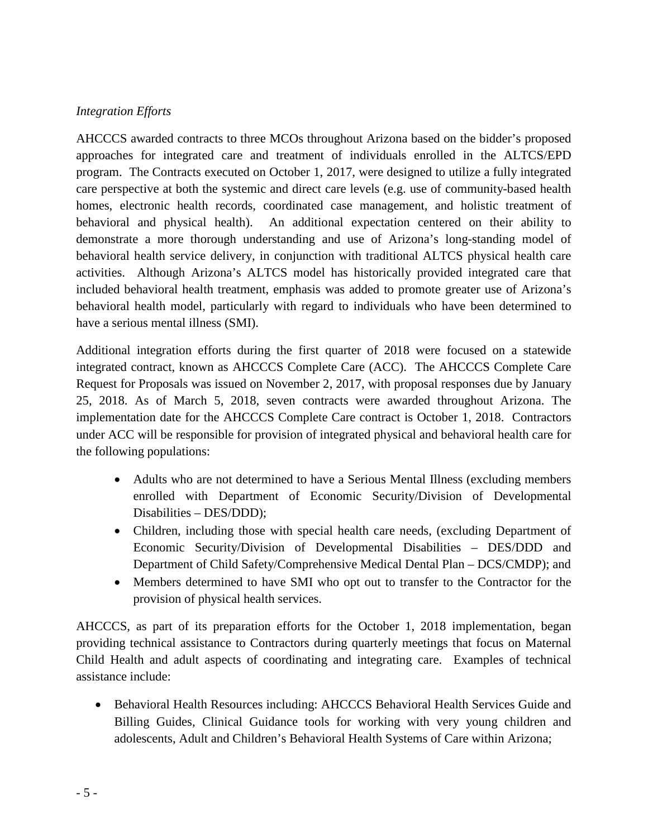### *Integration Efforts*

AHCCCS awarded contracts to three MCOs throughout Arizona based on the bidder's proposed approaches for integrated care and treatment of individuals enrolled in the ALTCS/EPD program. The Contracts executed on October 1, 2017, were designed to utilize a fully integrated care perspective at both the systemic and direct care levels (e.g. use of community-based health homes, electronic health records, coordinated case management, and holistic treatment of behavioral and physical health). An additional expectation centered on their ability to demonstrate a more thorough understanding and use of Arizona's long-standing model of behavioral health service delivery, in conjunction with traditional ALTCS physical health care activities. Although Arizona's ALTCS model has historically provided integrated care that included behavioral health treatment, emphasis was added to promote greater use of Arizona's behavioral health model, particularly with regard to individuals who have been determined to have a serious mental illness (SMI).

Additional integration efforts during the first quarter of 2018 were focused on a statewide integrated contract, known as AHCCCS Complete Care (ACC). The AHCCCS Complete Care Request for Proposals was issued on November 2, 2017, with proposal responses due by January 25, 2018. As of March 5, 2018, seven contracts were awarded throughout Arizona. The implementation date for the AHCCCS Complete Care contract is October 1, 2018. Contractors under ACC will be responsible for provision of integrated physical and behavioral health care for the following populations:

- Adults who are not determined to have a Serious Mental Illness (excluding members enrolled with Department of Economic Security/Division of Developmental Disabilities – DES/DDD);
- Children, including those with special health care needs, (excluding Department of Economic Security/Division of Developmental Disabilities – DES/DDD and Department of Child Safety/Comprehensive Medical Dental Plan – DCS/CMDP); and
- Members determined to have SMI who opt out to transfer to the Contractor for the provision of physical health services.

AHCCCS, as part of its preparation efforts for the October 1, 2018 implementation, began providing technical assistance to Contractors during quarterly meetings that focus on Maternal Child Health and adult aspects of coordinating and integrating care. Examples of technical assistance include:

• Behavioral Health Resources including: AHCCCS Behavioral Health Services Guide and Billing Guides, Clinical Guidance tools for working with very young children and adolescents, Adult and Children's Behavioral Health Systems of Care within Arizona;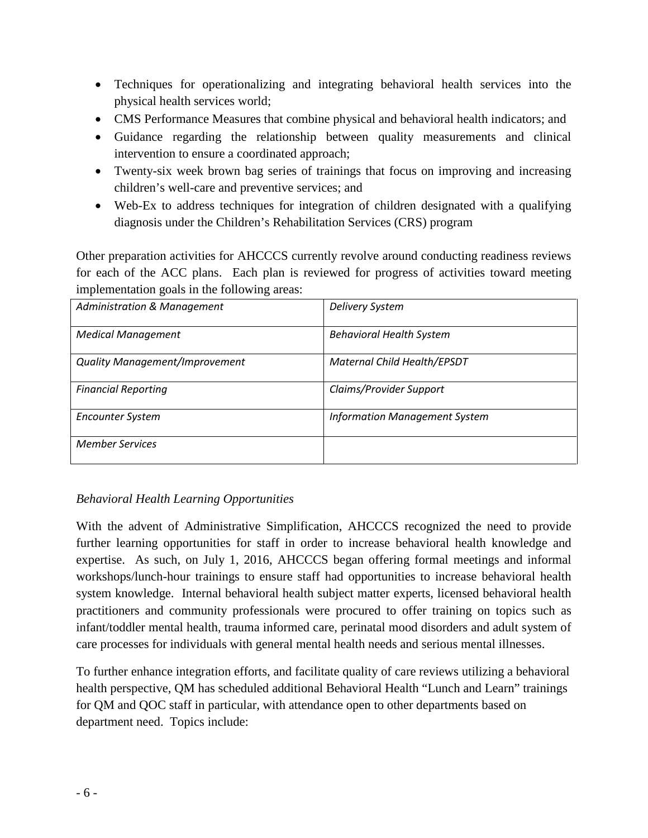- Techniques for operationalizing and integrating behavioral health services into the physical health services world;
- CMS Performance Measures that combine physical and behavioral health indicators; and
- Guidance regarding the relationship between quality measurements and clinical intervention to ensure a coordinated approach;
- Twenty-six week brown bag series of trainings that focus on improving and increasing children's well-care and preventive services; and
- Web-Ex to address techniques for integration of children designated with a qualifying diagnosis under the Children's Rehabilitation Services (CRS) program

Other preparation activities for AHCCCS currently revolve around conducting readiness reviews for each of the ACC plans. Each plan is reviewed for progress of activities toward meeting implementation goals in the following areas:

| <b>Administration &amp; Management</b> | <b>Delivery System</b>               |
|----------------------------------------|--------------------------------------|
| <b>Medical Management</b>              | <b>Behavioral Health System</b>      |
| <b>Quality Management/Improvement</b>  | <b>Maternal Child Health/EPSDT</b>   |
| <b>Financial Reporting</b>             | Claims/Provider Support              |
| <b>Encounter System</b>                | <b>Information Management System</b> |
| <b>Member Services</b>                 |                                      |

#### *Behavioral Health Learning Opportunities*

With the advent of Administrative Simplification, AHCCCS recognized the need to provide further learning opportunities for staff in order to increase behavioral health knowledge and expertise. As such, on July 1, 2016, AHCCCS began offering formal meetings and informal workshops/lunch-hour trainings to ensure staff had opportunities to increase behavioral health system knowledge. Internal behavioral health subject matter experts, licensed behavioral health practitioners and community professionals were procured to offer training on topics such as infant/toddler mental health, trauma informed care, perinatal mood disorders and adult system of care processes for individuals with general mental health needs and serious mental illnesses.

To further enhance integration efforts, and facilitate quality of care reviews utilizing a behavioral health perspective, QM has scheduled additional Behavioral Health "Lunch and Learn" trainings for QM and QOC staff in particular, with attendance open to other departments based on department need. Topics include: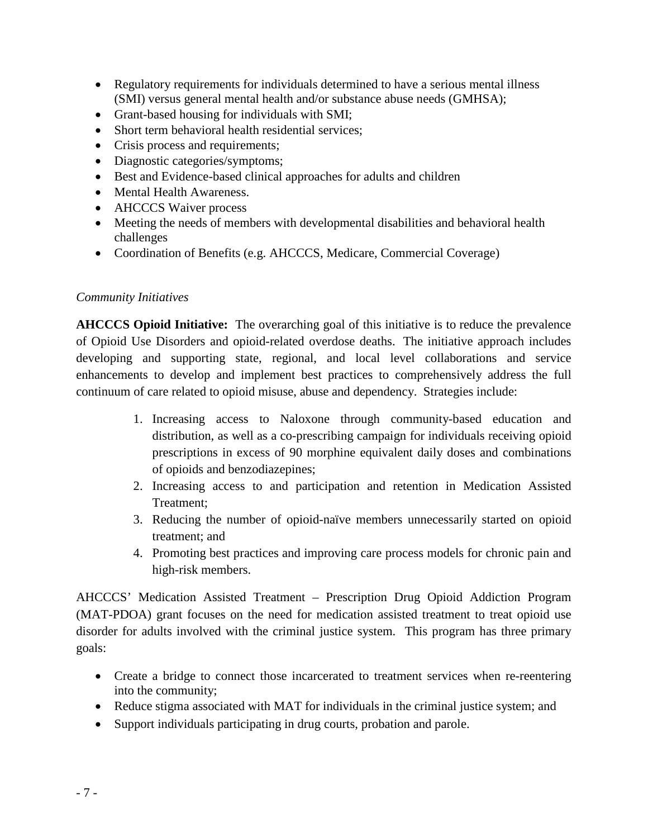- Regulatory requirements for individuals determined to have a serious mental illness (SMI) versus general mental health and/or substance abuse needs (GMHSA);
- Grant-based housing for individuals with SMI;
- Short term behavioral health residential services:
- Crisis process and requirements;
- Diagnostic categories/symptoms;
- Best and Evidence-based clinical approaches for adults and children
- Mental Health Awareness.
- AHCCCS Waiver process
- Meeting the needs of members with developmental disabilities and behavioral health challenges
- Coordination of Benefits (e.g. AHCCCS, Medicare, Commercial Coverage)

#### *Community Initiatives*

**AHCCCS Opioid Initiative:** The overarching goal of this initiative is to reduce the prevalence of Opioid Use Disorders and opioid-related overdose deaths. The initiative approach includes developing and supporting state, regional, and local level collaborations and service enhancements to develop and implement best practices to comprehensively address the full continuum of care related to opioid misuse, abuse and dependency. Strategies include:

- 1. Increasing access to Naloxone through community-based education and distribution, as well as a co-prescribing campaign for individuals receiving opioid prescriptions in excess of 90 morphine equivalent daily doses and combinations of opioids and benzodiazepines;
- 2. Increasing access to and participation and retention in Medication Assisted Treatment;
- 3. Reducing the number of opioid-naïve members unnecessarily started on opioid treatment; and
- 4. Promoting best practices and improving care process models for chronic pain and high-risk members.

AHCCCS' Medication Assisted Treatment – Prescription Drug Opioid Addiction Program (MAT-PDOA) grant focuses on the need for medication assisted treatment to treat opioid use disorder for adults involved with the criminal justice system. This program has three primary goals:

- Create a bridge to connect those incarcerated to treatment services when re-reentering into the community;
- Reduce stigma associated with MAT for individuals in the criminal justice system; and
- Support individuals participating in drug courts, probation and parole.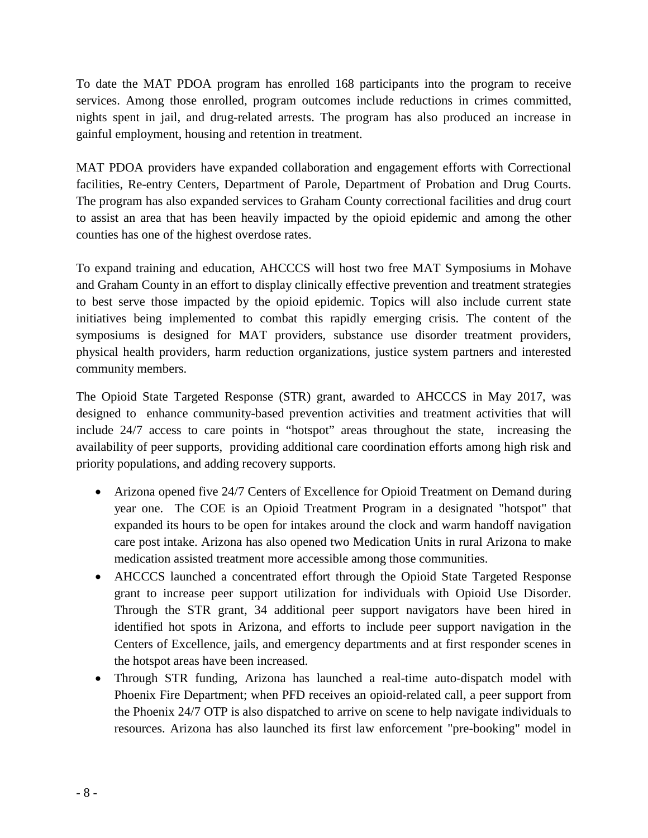To date the MAT PDOA program has enrolled 168 participants into the program to receive services. Among those enrolled, program outcomes include reductions in crimes committed, nights spent in jail, and drug-related arrests. The program has also produced an increase in gainful employment, housing and retention in treatment.

MAT PDOA providers have expanded collaboration and engagement efforts with Correctional facilities, Re-entry Centers, Department of Parole, Department of Probation and Drug Courts. The program has also expanded services to Graham County correctional facilities and drug court to assist an area that has been heavily impacted by the opioid epidemic and among the other counties has one of the highest overdose rates.

To expand training and education, AHCCCS will host two free MAT Symposiums in Mohave and Graham County in an effort to display clinically effective prevention and treatment strategies to best serve those impacted by the opioid epidemic. Topics will also include current state initiatives being implemented to combat this rapidly emerging crisis. The content of the symposiums is designed for MAT providers, substance use disorder treatment providers, physical health providers, harm reduction organizations, justice system partners and interested community members.

The Opioid State Targeted Response (STR) grant, awarded to AHCCCS in May 2017, was designed to enhance community-based prevention activities and treatment activities that will include 24/7 access to care points in "hotspot" areas throughout the state, increasing the availability of peer supports, providing additional care coordination efforts among high risk and priority populations, and adding recovery supports.

- Arizona opened five 24/7 Centers of Excellence for Opioid Treatment on Demand during year one. The COE is an Opioid Treatment Program in a designated "hotspot" that expanded its hours to be open for intakes around the clock and warm handoff navigation care post intake. Arizona has also opened two Medication Units in rural Arizona to make medication assisted treatment more accessible among those communities.
- AHCCCS launched a concentrated effort through the Opioid State Targeted Response grant to increase peer support utilization for individuals with Opioid Use Disorder. Through the STR grant, 34 additional peer support navigators have been hired in identified hot spots in Arizona, and efforts to include peer support navigation in the Centers of Excellence, jails, and emergency departments and at first responder scenes in the hotspot areas have been increased.
- Through STR funding, Arizona has launched a real-time auto-dispatch model with Phoenix Fire Department; when PFD receives an opioid-related call, a peer support from the Phoenix 24/7 OTP is also dispatched to arrive on scene to help navigate individuals to resources. Arizona has also launched its first law enforcement "pre-booking" model in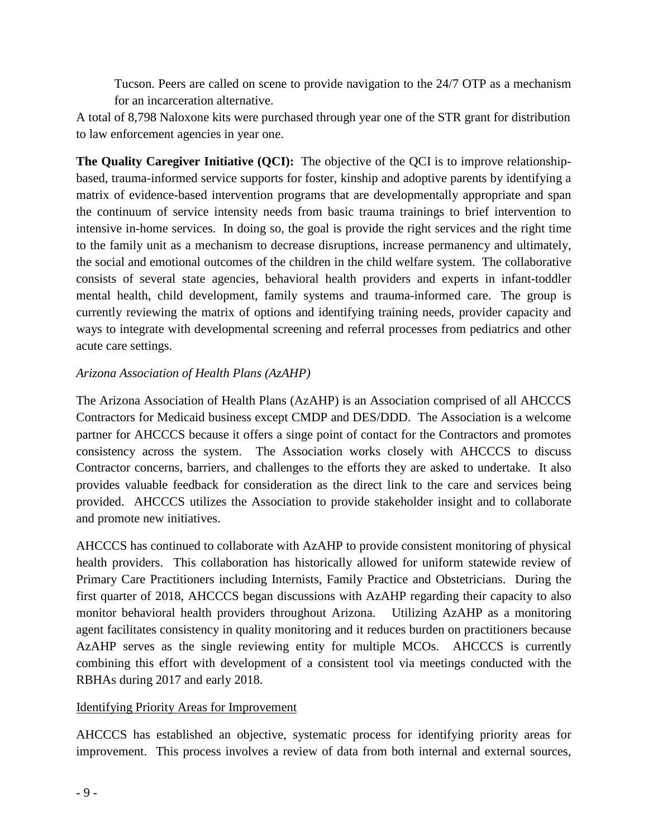Tucson. Peers are called on scene to provide navigation to the 24/7 OTP as a mechanism for an incarceration alternative.

A total of 8,798 Naloxone kits were purchased through year one of the STR grant for distribution to law enforcement agencies in year one.

**The Quality Caregiver Initiative (QCI):** The objective of the QCI is to improve relationshipbased, trauma-informed service supports for foster, kinship and adoptive parents by identifying a matrix of evidence-based intervention programs that are developmentally appropriate and span the continuum of service intensity needs from basic trauma trainings to brief intervention to intensive in-home services. In doing so, the goal is provide the right services and the right time to the family unit as a mechanism to decrease disruptions, increase permanency and ultimately, the social and emotional outcomes of the children in the child welfare system. The collaborative consists of several state agencies, behavioral health providers and experts in infant-toddler mental health, child development, family systems and trauma-informed care. The group is currently reviewing the matrix of options and identifying training needs, provider capacity and ways to integrate with developmental screening and referral processes from pediatrics and other acute care settings.

### *Arizona Association of Health Plans (AzAHP)*

The Arizona Association of Health Plans (AzAHP) is an Association comprised of all AHCCCS Contractors for Medicaid business except CMDP and DES/DDD. The Association is a welcome partner for AHCCCS because it offers a singe point of contact for the Contractors and promotes consistency across the system. The Association works closely with AHCCCS to discuss Contractor concerns, barriers, and challenges to the efforts they are asked to undertake. It also provides valuable feedback for consideration as the direct link to the care and services being provided. AHCCCS utilizes the Association to provide stakeholder insight and to collaborate and promote new initiatives.

AHCCCS has continued to collaborate with AzAHP to provide consistent monitoring of physical health providers. This collaboration has historically allowed for uniform statewide review of Primary Care Practitioners including Internists, Family Practice and Obstetricians. During the first quarter of 2018, AHCCCS began discussions with AzAHP regarding their capacity to also monitor behavioral health providers throughout Arizona. Utilizing AzAHP as a monitoring agent facilitates consistency in quality monitoring and it reduces burden on practitioners because AzAHP serves as the single reviewing entity for multiple MCOs. AHCCCS is currently combining this effort with development of a consistent tool via meetings conducted with the RBHAs during 2017 and early 2018.

#### Identifying Priority Areas for Improvement

AHCCCS has established an objective, systematic process for identifying priority areas for improvement. This process involves a review of data from both internal and external sources,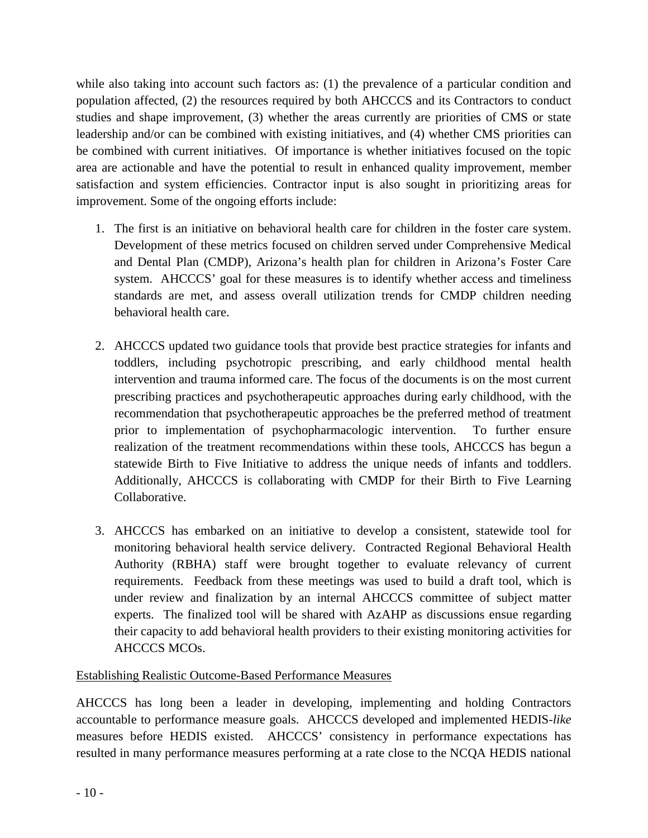while also taking into account such factors as: (1) the prevalence of a particular condition and population affected, (2) the resources required by both AHCCCS and its Contractors to conduct studies and shape improvement, (3) whether the areas currently are priorities of CMS or state leadership and/or can be combined with existing initiatives, and (4) whether CMS priorities can be combined with current initiatives. Of importance is whether initiatives focused on the topic area are actionable and have the potential to result in enhanced quality improvement, member satisfaction and system efficiencies. Contractor input is also sought in prioritizing areas for improvement. Some of the ongoing efforts include:

- 1. The first is an initiative on behavioral health care for children in the foster care system. Development of these metrics focused on children served under Comprehensive Medical and Dental Plan (CMDP), Arizona's health plan for children in Arizona's Foster Care system. AHCCCS' goal for these measures is to identify whether access and timeliness standards are met, and assess overall utilization trends for CMDP children needing behavioral health care.
- 2. AHCCCS updated two guidance tools that provide best practice strategies for infants and toddlers, including psychotropic prescribing, and early childhood mental health intervention and trauma informed care. The focus of the documents is on the most current prescribing practices and psychotherapeutic approaches during early childhood, with the recommendation that psychotherapeutic approaches be the preferred method of treatment prior to implementation of psychopharmacologic intervention. To further ensure realization of the treatment recommendations within these tools, AHCCCS has begun a statewide Birth to Five Initiative to address the unique needs of infants and toddlers. Additionally, AHCCCS is collaborating with CMDP for their Birth to Five Learning Collaborative.
- 3. AHCCCS has embarked on an initiative to develop a consistent, statewide tool for monitoring behavioral health service delivery. Contracted Regional Behavioral Health Authority (RBHA) staff were brought together to evaluate relevancy of current requirements. Feedback from these meetings was used to build a draft tool, which is under review and finalization by an internal AHCCCS committee of subject matter experts. The finalized tool will be shared with AzAHP as discussions ensue regarding their capacity to add behavioral health providers to their existing monitoring activities for AHCCCS MCOs.

### Establishing Realistic Outcome-Based Performance Measures

AHCCCS has long been a leader in developing, implementing and holding Contractors accountable to performance measure goals. AHCCCS developed and implemented HEDIS-*like* measures before HEDIS existed. AHCCCS' consistency in performance expectations has resulted in many performance measures performing at a rate close to the NCQA HEDIS national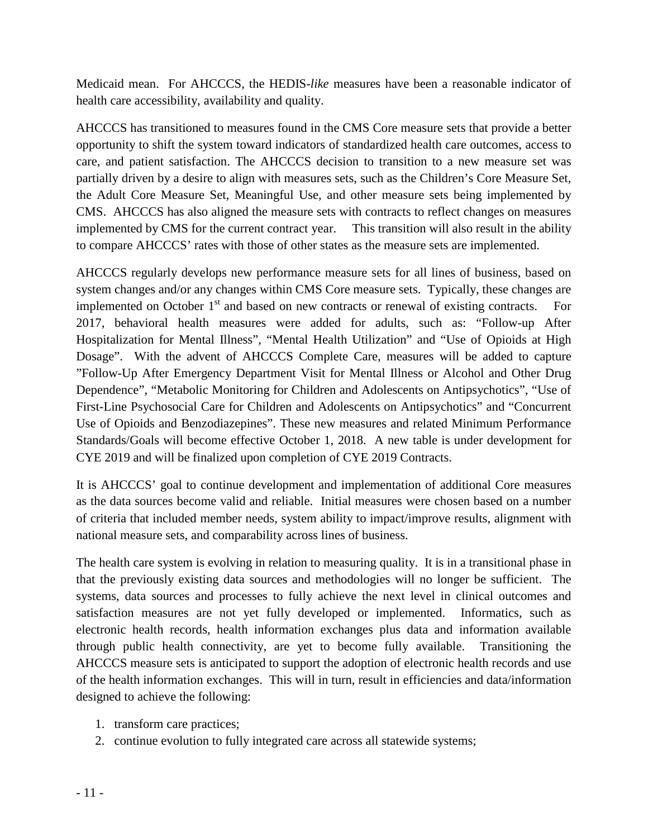Medicaid mean. For AHCCCS, the HEDIS-*like* measures have been a reasonable indicator of health care accessibility, availability and quality.

AHCCCS has transitioned to measures found in the CMS Core measure sets that provide a better opportunity to shift the system toward indicators of standardized health care outcomes, access to care, and patient satisfaction. The AHCCCS decision to transition to a new measure set was partially driven by a desire to align with measures sets, such as the Children's Core Measure Set, the Adult Core Measure Set, Meaningful Use, and other measure sets being implemented by CMS. AHCCCS has also aligned the measure sets with contracts to reflect changes on measures implemented by CMS for the current contract year. This transition will also result in the ability to compare AHCCCS' rates with those of other states as the measure sets are implemented.

AHCCCS regularly develops new performance measure sets for all lines of business, based on system changes and/or any changes within CMS Core measure sets. Typically, these changes are implemented on October  $1<sup>st</sup>$  and based on new contracts or renewal of existing contracts. For 2017, behavioral health measures were added for adults, such as: "Follow-up After Hospitalization for Mental Illness", "Mental Health Utilization" and "Use of Opioids at High Dosage". With the advent of AHCCCS Complete Care, measures will be added to capture "Follow-Up After Emergency Department Visit for Mental Illness or Alcohol and Other Drug Dependence", "Metabolic Monitoring for Children and Adolescents on Antipsychotics", "Use of First-Line Psychosocial Care for Children and Adolescents on Antipsychotics" and "Concurrent Use of Opioids and Benzodiazepines". These new measures and related Minimum Performance Standards/Goals will become effective October 1, 2018. A new table is under development for CYE 2019 and will be finalized upon completion of CYE 2019 Contracts.

It is AHCCCS' goal to continue development and implementation of additional Core measures as the data sources become valid and reliable. Initial measures were chosen based on a number of criteria that included member needs, system ability to impact/improve results, alignment with national measure sets, and comparability across lines of business.

The health care system is evolving in relation to measuring quality. It is in a transitional phase in that the previously existing data sources and methodologies will no longer be sufficient. The systems, data sources and processes to fully achieve the next level in clinical outcomes and satisfaction measures are not yet fully developed or implemented. Informatics, such as electronic health records, health information exchanges plus data and information available through public health connectivity, are yet to become fully available. Transitioning the AHCCCS measure sets is anticipated to support the adoption of electronic health records and use of the health information exchanges. This will in turn, result in efficiencies and data/information designed to achieve the following:

- 1. transform care practices;
- 2. continue evolution to fully integrated care across all statewide systems;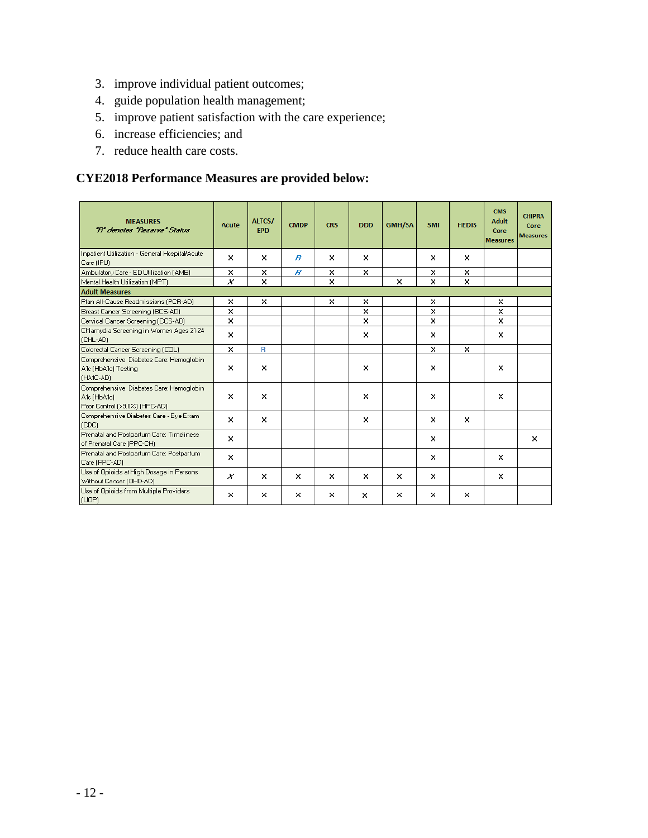- 3. improve individual patient outcomes;
- 4. guide population health management;
- 5. improve patient satisfaction with the care experience;
- 6. increase efficiencies; and
- 7. reduce health care costs.

### **CYE2018 Performance Measures are provided below:**

| <b>MEASURES</b><br>"R" denotes "Reserve" Status                                         | Acute    | ALTCS/<br><b>EPD</b> | <b>CMDP</b>      | <b>CRS</b> | <b>DDD</b> | <b>GMH/SA</b> | <b>SMI</b> | <b>HEDIS</b> | <b>CMS</b><br><b>Adult</b><br>Core<br><b>Measures</b> | <b>CHIPRA</b><br>Core<br><b>Measures</b> |
|-----------------------------------------------------------------------------------------|----------|----------------------|------------------|------------|------------|---------------|------------|--------------|-------------------------------------------------------|------------------------------------------|
| Inpatient Utilization - General Hospital/Acute<br>Care (IPU)                            | ×        | ×                    | $\boldsymbol{B}$ | ×          | ×          |               | ×          | $\times$     |                                                       |                                          |
| Ambulatory Care - ED Utilization (AMB)                                                  | x        | ×                    | $\overline{B}$   | x          | x          |               | x          | x            |                                                       |                                          |
| Mental Health Utilization (MPT)                                                         | x        | x                    |                  | ×          |            | x             | ×          | ×            |                                                       |                                          |
| <b>Adult Measures</b>                                                                   |          |                      |                  |            |            |               |            |              |                                                       |                                          |
| Plan All-Cause Readmissions (PCR-AD)                                                    | ×        | ×                    |                  | ×          | x          |               | ×          |              | x                                                     |                                          |
| Breast Cancer Screening (BCS-AD)                                                        | x        |                      |                  |            | x          |               | x          |              | x                                                     |                                          |
| Cervical Cancer Screening (CCS-AD)                                                      | ×        |                      |                  |            | x          |               | x          |              | ×                                                     |                                          |
| Chlamydia Screening in Women Ages 21-24<br>(CHL-AD)                                     | ×        |                      |                  |            | ×          |               | ×          |              | ×                                                     |                                          |
| Colorectal Cancer Screening (COL)                                                       | ×        | R.                   |                  |            |            |               | ×          | ×            |                                                       |                                          |
| Comprehensive Diabetes Care: Hemoglobin<br>A1c (HbA1c) Testing<br>IHA1C-ADI             | ×        | x                    |                  |            | x          |               | ×          |              | x                                                     |                                          |
| Comprehensive Diabetes Care: Hemoglobin<br>A1c (HbA1c)<br>Poor Control (>9.0%) (HPC-AD) | $\times$ | ×                    |                  |            | ×          |               | x          |              | ×                                                     |                                          |
| Comprehensive Diabetes Care - Eye Exam<br>[CDC]                                         | ×        | $\times$             |                  |            | ×          |               | ×          | $\times$     |                                                       |                                          |
| Prenatal and Postpartum Care: Timeliness<br>of Prenatal Care (PPC-CH)                   | x        |                      |                  |            |            |               | $\times$   |              |                                                       | ×                                        |
| Prenatal and Postpartum Care: Postpartum<br>Care (PPC-AD)                               | x        |                      |                  |            |            |               | ×          |              | ×                                                     |                                          |
| Use of Opioids at High Dosage in Persons<br>Without Cancer (OHD-AD)                     | ×        | ×                    | $\times$         | ×          | ×          | ×             | ×          |              | ×                                                     |                                          |
| Use of Opioids from Multiple Providers<br>(UOP)                                         | ×        | ×                    | ×                | ×          | x          | x             | ×          | ×            |                                                       |                                          |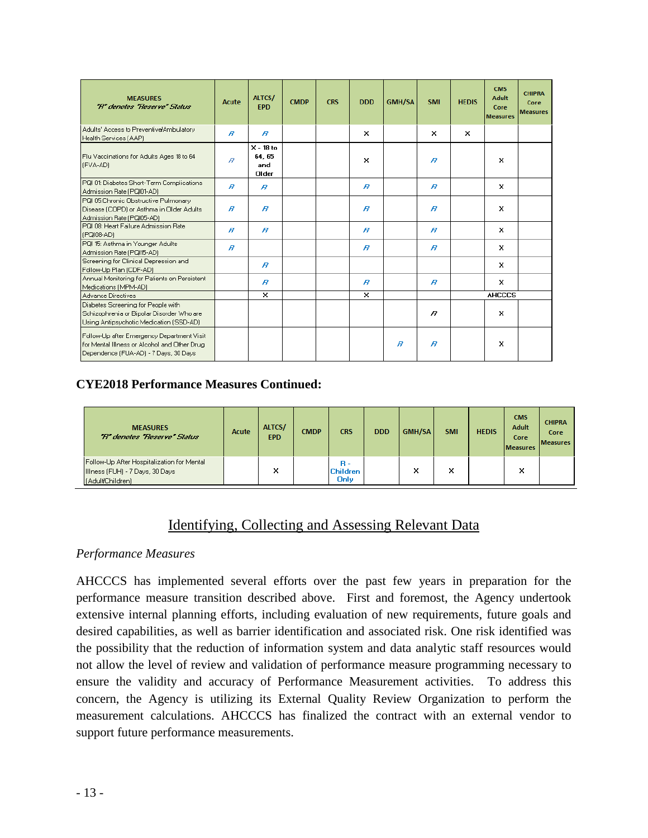| <b>MEASURES</b><br>'R' denotes 'Reserve' Status                                                                                     | <b>Acute</b>     | ALTCS/<br><b>EPD</b>                 | <b>CMDP</b> | <b>CRS</b> | <b>DDD</b>       | <b>GMH/SA</b>  | <b>SMI</b>       | <b>HEDIS</b> | <b>CMS</b><br>Adult<br>Core<br><b>Measures</b> | <b>CHIPRA</b><br>Core<br><b>Measures</b> |
|-------------------------------------------------------------------------------------------------------------------------------------|------------------|--------------------------------------|-------------|------------|------------------|----------------|------------------|--------------|------------------------------------------------|------------------------------------------|
| Adults' Access to Preventive/Ambulatory<br>Health Services (AAP)                                                                    | R                | $\overline{B}$                       |             |            | ×                |                | $\times$         | ×            |                                                |                                          |
| Flu Vaccinations for Adults Ages 18 to 64<br>(FVA-AD)                                                                               | $\overline{B}$   | $X - 18$ to<br>64.65<br>and<br>Older |             |            | ×                |                | B                |              | x                                              |                                          |
| PQI 01: Diabetes Short-Term Complications<br>Admission Rate (PQI01-AD)                                                              | $\boldsymbol{B}$ | $\boldsymbol{B}$                     |             |            | $\boldsymbol{B}$ |                | $\boldsymbol{B}$ |              | ×                                              |                                          |
| PQI 05:Chronic Obstructive Pulmonary<br>Disease (COPD) or Asthma in Older Adults<br>Admission Rate (PQI05-AD)                       | $\boldsymbol{B}$ | $\boldsymbol{B}$                     |             |            | $\boldsymbol{B}$ |                | $\boldsymbol{B}$ |              | ×                                              |                                          |
| PQI 08: Heart Failure Admission Rate<br>(PGI08-AD)                                                                                  | $\boldsymbol{B}$ | $\boldsymbol{B}$                     |             |            | $\boldsymbol{B}$ |                | $\boldsymbol{B}$ |              | ×                                              |                                          |
| PQI 15: Asthma in Younger Adults<br>Admission Rate (PQI15-AD)                                                                       | R                |                                      |             |            | $\boldsymbol{B}$ |                | $\boldsymbol{B}$ |              | ×                                              |                                          |
| Screening for Clinical Depression and<br>Follow-Up Plan (CDF-AD)                                                                    |                  | $\boldsymbol{B}$                     |             |            |                  |                |                  |              | ×                                              |                                          |
| Annual Monitoring for Patients on Persistent<br>Medications (MPM-AD)                                                                |                  | $\boldsymbol{B}$                     |             |            | $\boldsymbol{B}$ |                | $\boldsymbol{B}$ |              | $\times$                                       |                                          |
| Advance Directives                                                                                                                  |                  | ×                                    |             |            | ×                |                |                  |              | <b>AHCCCS</b>                                  |                                          |
| Diabetes Screening for People with<br>Schizophrenia or Bipolar Disorder Who are<br>Using Antipsychotic Medication (SSD-AD)          |                  |                                      |             |            |                  |                | R                |              | ×                                              |                                          |
| Follow-Up after Emergency Department Visit<br>for Mental IIIness or Alcohol and Other Drug<br>Dependence (FUA-AD) - 7 Days, 30 Days |                  |                                      |             |            |                  | $\overline{B}$ | $\boldsymbol{B}$ |              | ×                                              |                                          |

### **CYE2018 Performance Measures Continued:**

| <b>MEASURES</b><br>"R" denotes "Reserve" Status                                                   | Acute | ALTCS/<br><b>EPD</b> | <b>CMDP</b> | <b>CRS</b>                                   | <b>DDD</b> | <b>GMH/SA</b> | <b>SMI</b> | <b>HEDIS</b> | <b>CMS</b><br>Adult<br>Core<br><b>Measures</b> | <b>CHIPRA</b><br>Core<br><b>Measures</b> |
|---------------------------------------------------------------------------------------------------|-------|----------------------|-------------|----------------------------------------------|------------|---------------|------------|--------------|------------------------------------------------|------------------------------------------|
| Follow-Up After Hospitalization for Mental<br>Illness (FUH) - 7 Days, 30 Days<br>(Adult/Children) |       | x                    |             | <b>B</b> -<br><b>Children</b><br><b>Only</b> |            | ×             | ×          |              | ×                                              |                                          |

### Identifying, Collecting and Assessing Relevant Data

#### *Performance Measures*

AHCCCS has implemented several efforts over the past few years in preparation for the performance measure transition described above. First and foremost, the Agency undertook extensive internal planning efforts, including evaluation of new requirements, future goals and desired capabilities, as well as barrier identification and associated risk. One risk identified was the possibility that the reduction of information system and data analytic staff resources would not allow the level of review and validation of performance measure programming necessary to ensure the validity and accuracy of Performance Measurement activities. To address this concern, the Agency is utilizing its External Quality Review Organization to perform the measurement calculations. AHCCCS has finalized the contract with an external vendor to support future performance measurements.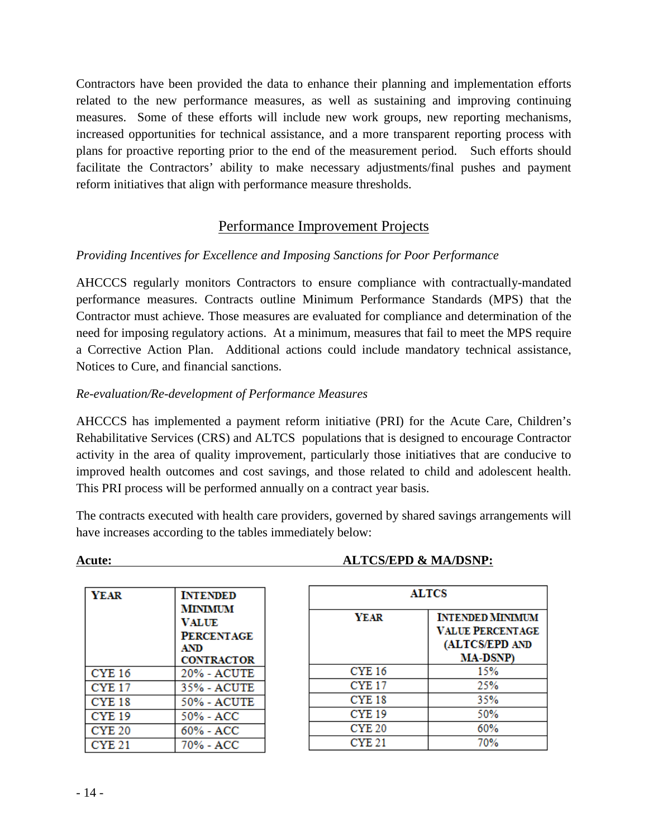Contractors have been provided the data to enhance their planning and implementation efforts related to the new performance measures, as well as sustaining and improving continuing measures. Some of these efforts will include new work groups, new reporting mechanisms, increased opportunities for technical assistance, and a more transparent reporting process with plans for proactive reporting prior to the end of the measurement period. Such efforts should facilitate the Contractors' ability to make necessary adjustments/final pushes and payment reform initiatives that align with performance measure thresholds.

### Performance Improvement Projects

### *Providing Incentives for Excellence and Imposing Sanctions for Poor Performance*

AHCCCS regularly monitors Contractors to ensure compliance with contractually-mandated performance measures. Contracts outline Minimum Performance Standards (MPS) that the Contractor must achieve. Those measures are evaluated for compliance and determination of the need for imposing regulatory actions. At a minimum, measures that fail to meet the MPS require a Corrective Action Plan. Additional actions could include mandatory technical assistance, Notices to Cure, and financial sanctions.

### *Re-evaluation/Re-development of Performance Measures*

AHCCCS has implemented a payment reform initiative (PRI) for the Acute Care, Children's Rehabilitative Services (CRS) and ALTCS populations that is designed to encourage Contractor activity in the area of quality improvement, particularly those initiatives that are conducive to improved health outcomes and cost savings, and those related to child and adolescent health. This PRI process will be performed annually on a contract year basis.

The contracts executed with health care providers, governed by shared savings arrangements will have increases according to the tables immediately below:

| <b>YEAR</b>       | <b>INTENDED</b><br><b>MINIMUM</b><br><b>VALUE</b><br><b>PERCENTAGE</b><br><b>AND</b><br><b>CONTRACTOR</b> |
|-------------------|-----------------------------------------------------------------------------------------------------------|
| <b>CYE 16</b>     | 20% - ACUTE                                                                                               |
| <b>CYE 17</b>     | 35% - ACUTE                                                                                               |
| CYE <sub>18</sub> | 50% - ACUTE                                                                                               |
| <b>CYE 19</b>     | 50% - ACC                                                                                                 |
| <b>CYE 20</b>     | 60% - ACC                                                                                                 |
| CYE 21            | 70% - ACC                                                                                                 |

#### **Acute: ALTCS/EPD & MA/DSNP:**

| <b>ALTCS</b>  |                         |  |  |  |  |  |  |  |
|---------------|-------------------------|--|--|--|--|--|--|--|
| <b>YEAR</b>   | <b>INTENDED MINIMUM</b> |  |  |  |  |  |  |  |
|               | <b>VALUE PERCENTAGE</b> |  |  |  |  |  |  |  |
|               | (ALTCS/EPD AND          |  |  |  |  |  |  |  |
|               | <b>MA-DSNP</b> )        |  |  |  |  |  |  |  |
| <b>CYE 16</b> | 15%                     |  |  |  |  |  |  |  |
| <b>CYE 17</b> | 25%                     |  |  |  |  |  |  |  |
| <b>CYE 18</b> | 35%                     |  |  |  |  |  |  |  |
| <b>CYE 19</b> | 50%                     |  |  |  |  |  |  |  |
| <b>CYE 20</b> | 60%                     |  |  |  |  |  |  |  |
| <b>CYE 21</b> | 70%                     |  |  |  |  |  |  |  |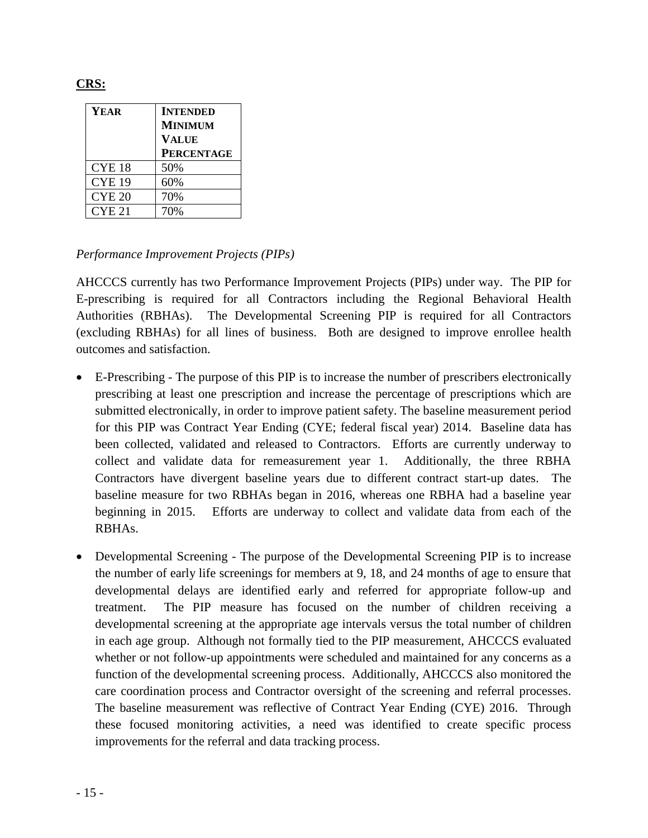| <b>YEAR</b>       | <b>INTENDED</b>   |
|-------------------|-------------------|
|                   | <b>MINIMUM</b>    |
|                   | <b>VALUE</b>      |
|                   | <b>PERCENTAGE</b> |
| CYE <sub>18</sub> | 50%               |
| <b>CYE 19</b>     | 60%               |
| <b>CYE 20</b>     | 70%               |
| CYE <sub>21</sub> |                   |

#### *Performance Improvement Projects (PIPs)*

AHCCCS currently has two Performance Improvement Projects (PIPs) under way. The PIP for E-prescribing is required for all Contractors including the Regional Behavioral Health Authorities (RBHAs). The Developmental Screening PIP is required for all Contractors (excluding RBHAs) for all lines of business. Both are designed to improve enrollee health outcomes and satisfaction.

- E-Prescribing The purpose of this PIP is to increase the number of prescribers electronically prescribing at least one prescription and increase the percentage of prescriptions which are submitted electronically, in order to improve patient safety. The baseline measurement period for this PIP was Contract Year Ending (CYE; federal fiscal year) 2014. Baseline data has been collected, validated and released to Contractors. Efforts are currently underway to collect and validate data for remeasurement year 1. Additionally, the three RBHA Contractors have divergent baseline years due to different contract start-up dates. The baseline measure for two RBHAs began in 2016, whereas one RBHA had a baseline year beginning in 2015. Efforts are underway to collect and validate data from each of the RBHAs.
- Developmental Screening The purpose of the Developmental Screening PIP is to increase the number of early life screenings for members at 9, 18, and 24 months of age to ensure that developmental delays are identified early and referred for appropriate follow-up and treatment. The PIP measure has focused on the number of children receiving a developmental screening at the appropriate age intervals versus the total number of children in each age group. Although not formally tied to the PIP measurement, AHCCCS evaluated whether or not follow-up appointments were scheduled and maintained for any concerns as a function of the developmental screening process. Additionally, AHCCCS also monitored the care coordination process and Contractor oversight of the screening and referral processes. The baseline measurement was reflective of Contract Year Ending (CYE) 2016. Through these focused monitoring activities, a need was identified to create specific process improvements for the referral and data tracking process.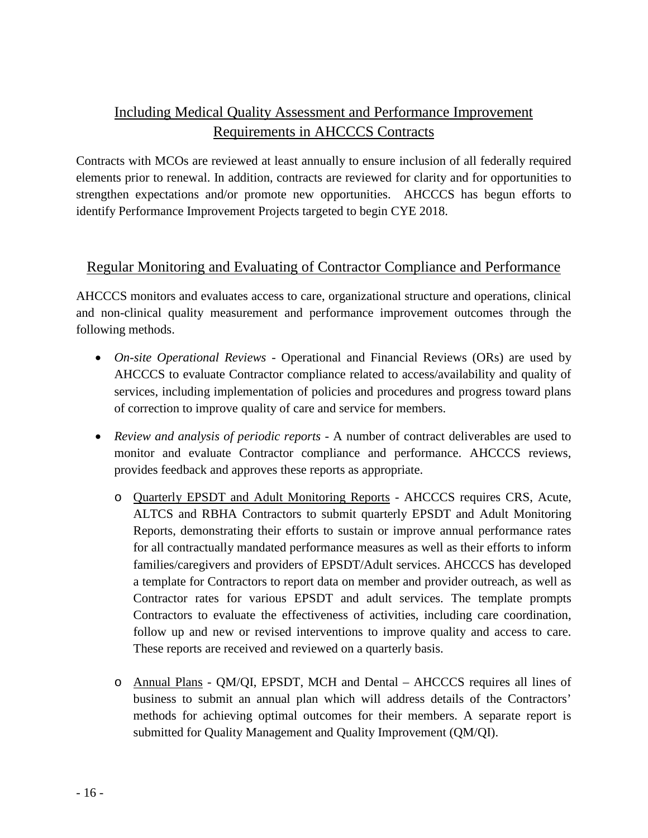### Including Medical Quality Assessment and Performance Improvement Requirements in AHCCCS Contracts

Contracts with MCOs are reviewed at least annually to ensure inclusion of all federally required elements prior to renewal. In addition, contracts are reviewed for clarity and for opportunities to strengthen expectations and/or promote new opportunities. AHCCCS has begun efforts to identify Performance Improvement Projects targeted to begin CYE 2018.

### Regular Monitoring and Evaluating of Contractor Compliance and Performance

AHCCCS monitors and evaluates access to care, organizational structure and operations, clinical and non-clinical quality measurement and performance improvement outcomes through the following methods.

- *On-site Operational Reviews -* Operational and Financial Reviews (ORs) are used by AHCCCS to evaluate Contractor compliance related to access/availability and quality of services, including implementation of policies and procedures and progress toward plans of correction to improve quality of care and service for members.
- *Review and analysis of periodic reports -* A number of contract deliverables are used to monitor and evaluate Contractor compliance and performance. AHCCCS reviews, provides feedback and approves these reports as appropriate.
	- o Quarterly EPSDT and Adult Monitoring Reports AHCCCS requires CRS, Acute, ALTCS and RBHA Contractors to submit quarterly EPSDT and Adult Monitoring Reports, demonstrating their efforts to sustain or improve annual performance rates for all contractually mandated performance measures as well as their efforts to inform families/caregivers and providers of EPSDT/Adult services. AHCCCS has developed a template for Contractors to report data on member and provider outreach, as well as Contractor rates for various EPSDT and adult services. The template prompts Contractors to evaluate the effectiveness of activities, including care coordination, follow up and new or revised interventions to improve quality and access to care. These reports are received and reviewed on a quarterly basis.
	- o Annual Plans QM/QI, EPSDT, MCH and Dental AHCCCS requires all lines of business to submit an annual plan which will address details of the Contractors' methods for achieving optimal outcomes for their members. A separate report is submitted for Quality Management and Quality Improvement (QM/QI).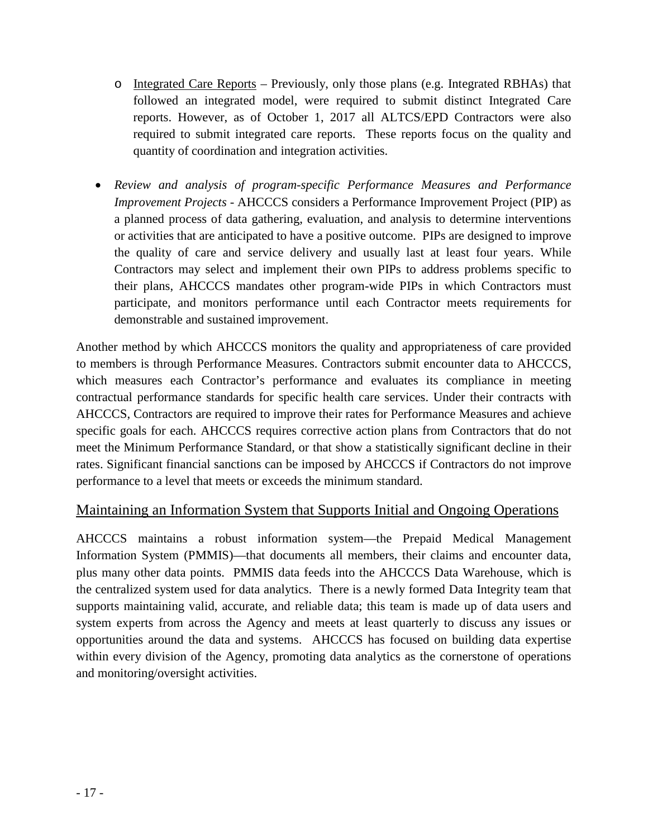- o Integrated Care Reports Previously, only those plans (e.g. Integrated RBHAs) that followed an integrated model, were required to submit distinct Integrated Care reports. However, as of October 1, 2017 all ALTCS/EPD Contractors were also required to submit integrated care reports. These reports focus on the quality and quantity of coordination and integration activities.
- *Review and analysis of program-specific Performance Measures and Performance Improvement Projects -* AHCCCS considers a Performance Improvement Project (PIP) as a planned process of data gathering, evaluation, and analysis to determine interventions or activities that are anticipated to have a positive outcome. PIPs are designed to improve the quality of care and service delivery and usually last at least four years. While Contractors may select and implement their own PIPs to address problems specific to their plans, AHCCCS mandates other program-wide PIPs in which Contractors must participate, and monitors performance until each Contractor meets requirements for demonstrable and sustained improvement.

Another method by which AHCCCS monitors the quality and appropriateness of care provided to members is through Performance Measures. Contractors submit encounter data to AHCCCS, which measures each Contractor's performance and evaluates its compliance in meeting contractual performance standards for specific health care services. Under their contracts with AHCCCS, Contractors are required to improve their rates for Performance Measures and achieve specific goals for each. AHCCCS requires corrective action plans from Contractors that do not meet the Minimum Performance Standard, or that show a statistically significant decline in their rates. Significant financial sanctions can be imposed by AHCCCS if Contractors do not improve performance to a level that meets or exceeds the minimum standard.

### Maintaining an Information System that Supports Initial and Ongoing Operations

AHCCCS maintains a robust information system—the Prepaid Medical Management Information System (PMMIS)—that documents all members, their claims and encounter data, plus many other data points. PMMIS data feeds into the AHCCCS Data Warehouse, which is the centralized system used for data analytics. There is a newly formed Data Integrity team that supports maintaining valid, accurate, and reliable data; this team is made up of data users and system experts from across the Agency and meets at least quarterly to discuss any issues or opportunities around the data and systems. AHCCCS has focused on building data expertise within every division of the Agency, promoting data analytics as the cornerstone of operations and monitoring/oversight activities.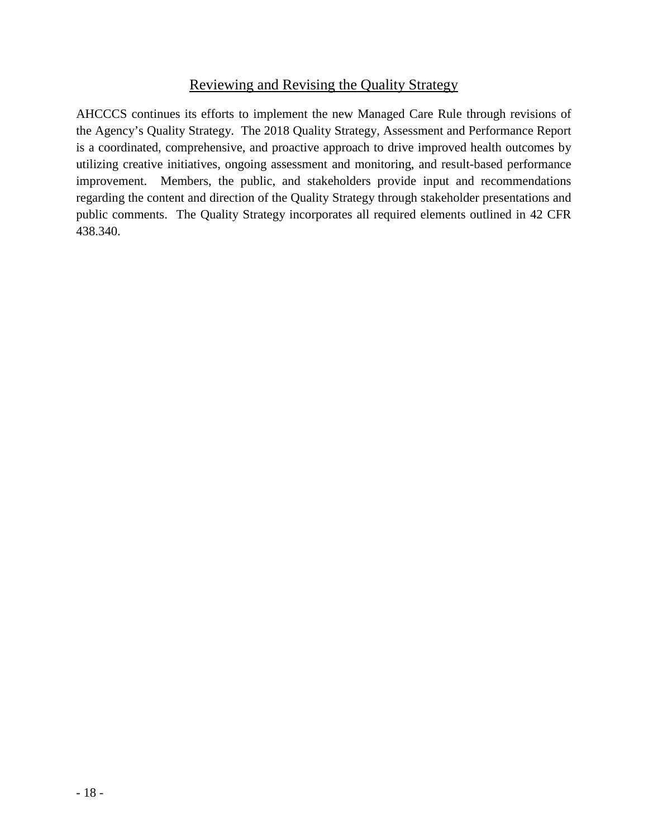### Reviewing and Revising the Quality Strategy

AHCCCS continues its efforts to implement the new Managed Care Rule through revisions of the Agency's Quality Strategy. The 2018 Quality Strategy, Assessment and Performance Report is a coordinated, comprehensive, and proactive approach to drive improved health outcomes by utilizing creative initiatives, ongoing assessment and monitoring, and result-based performance improvement. Members, the public, and stakeholders provide input and recommendations regarding the content and direction of the Quality Strategy through stakeholder presentations and public comments. The Quality Strategy incorporates all required elements outlined in 42 CFR 438.340.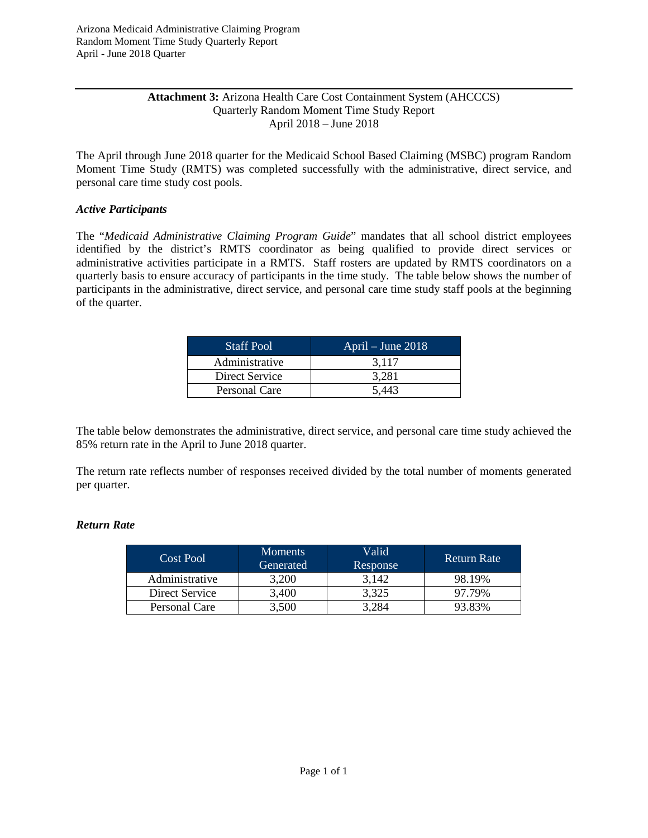#### **Attachment 3:** Arizona Health Care Cost Containment System (AHCCCS) Quarterly Random Moment Time Study Report April 2018 – June 2018

The April through June 2018 quarter for the Medicaid School Based Claiming (MSBC) program Random Moment Time Study (RMTS) was completed successfully with the administrative, direct service, and personal care time study cost pools.

#### *Active Participants*

The "*Medicaid Administrative Claiming Program Guide*" mandates that all school district employees identified by the district's RMTS coordinator as being qualified to provide direct services or administrative activities participate in a RMTS. Staff rosters are updated by RMTS coordinators on a quarterly basis to ensure accuracy of participants in the time study. The table below shows the number of participants in the administrative, direct service, and personal care time study staff pools at the beginning of the quarter.

| <b>Staff Pool</b> | April – June $2018$ |
|-------------------|---------------------|
| Administrative    | 3.117               |
| Direct Service    | 3.281               |
| Personal Care     | 5,443               |

The table below demonstrates the administrative, direct service, and personal care time study achieved the 85% return rate in the April to June 2018 quarter.

The return rate reflects number of responses received divided by the total number of moments generated per quarter.

#### *Return Rate*

| Cost Pool      | <b>Moments</b><br>Generated | Valid<br>Response | <b>Return Rate</b> |
|----------------|-----------------------------|-------------------|--------------------|
| Administrative | 3.200                       | 3.142             | 98.19%             |
| Direct Service | 3.400                       | 3,325             | 97.79%             |
| Personal Care  | 3,500                       | 3.284             | 93.83%             |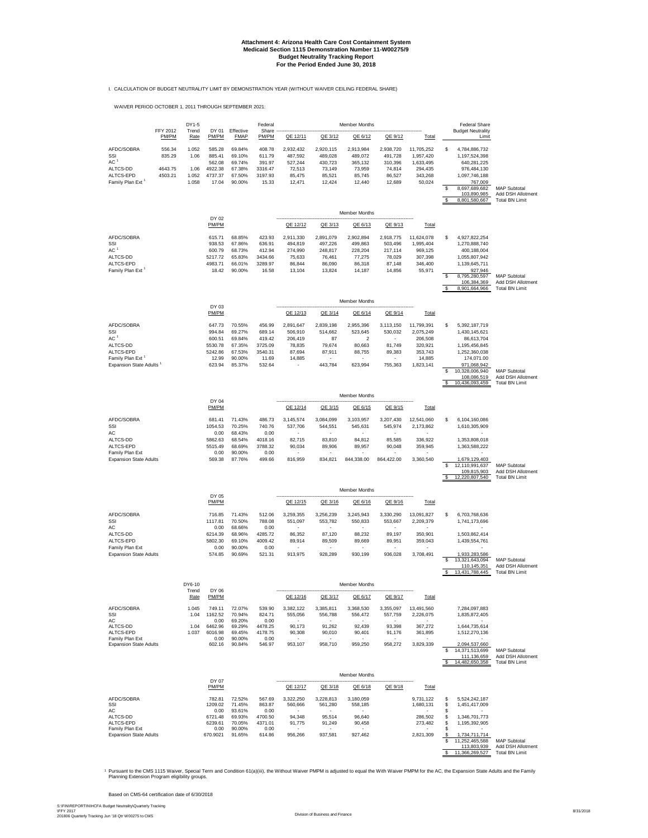#### **Attachment 4: Arizona Health Care Cost Containment System Budget Neutrality Tracking Report For the Period Ended June 30, 2018 Medicaid Section 1115 Demonstration Number 11-W00275/9**

I. CALCULATION OF BUDGET NEUTRALITY LIMIT BY DEMONSTRATION YEAR (WITHOUT WAIVER CEILING FEDERAL SHARE)

WAIVER PERIOD OCTOBER 1, 2011 THROUGH SEPTEMBER 2021:

|                                                                                               |                                        | DY1-5                                   |                                                           |                                                          | Federal                                                   |                                                               |                                                               | Member Months                                                       |                                                               |                                                                      |                | <b>Federal Share</b>                                                                                                                        |                                                                   |
|-----------------------------------------------------------------------------------------------|----------------------------------------|-----------------------------------------|-----------------------------------------------------------|----------------------------------------------------------|-----------------------------------------------------------|---------------------------------------------------------------|---------------------------------------------------------------|---------------------------------------------------------------------|---------------------------------------------------------------|----------------------------------------------------------------------|----------------|---------------------------------------------------------------------------------------------------------------------------------------------|-------------------------------------------------------------------|
|                                                                                               | FFY 2012<br>PM/PM                      | Trend<br>Rate                           | DY 01<br>PM/PM                                            | Effective<br><b>FMAP</b>                                 | Share<br>PM/PM                                            | QE 12/11                                                      | QE 3/12                                                       | QE 6/12                                                             | QE 9/12                                                       | Total                                                                |                | <b>Budget Neutrality</b><br>Limit                                                                                                           |                                                                   |
| AFDC/SOBRA<br>SSI<br>AC <sup>1</sup><br>ALTCS-DD<br>ALTCS-EPD<br>Family Plan Ext <sup>1</sup> | 556.34<br>835.29<br>4643.75<br>4503.21 | 1.052<br>1.06<br>1.06<br>1.052<br>1.058 | 585.28<br>885.41<br>562.08<br>4922.38<br>4737.37<br>17.04 | 69.84%<br>69.10%<br>69.74%<br>67.38%<br>67.50%<br>90.00% | 408.78<br>611.79<br>391.97<br>3316.47<br>3197.93<br>15.33 | 2,932,432<br>487,592<br>527,244<br>72,513<br>85,475<br>12,471 | 2,920,115<br>489,028<br>430,723<br>73,149<br>85,521<br>12,424 | 2,913,984<br>489,072<br>365,132<br>73,959<br>85,745<br>12,440       | 2,938,720<br>491,728<br>310,396<br>74,814<br>86,527<br>12,689 | 11,705,252<br>1,957,420<br>1,633,495<br>294,435<br>343,268<br>50,024 | s              | 4,784,886,732<br>1,197,524,398<br>640,281,225<br>976,484,130<br>1,097,746,188<br>767,009                                                    |                                                                   |
|                                                                                               |                                        |                                         |                                                           |                                                          |                                                           |                                                               |                                                               |                                                                     |                                                               |                                                                      | \$<br>S.       | 8,697,689,682<br>103,890,985<br>8,801,580,667                                                                                               | <b>MAP Subtotal</b><br>Add DSH Allotment<br><b>Total BN Limit</b> |
|                                                                                               |                                        |                                         | DY 02                                                     |                                                          |                                                           |                                                               |                                                               | Member Months                                                       |                                                               |                                                                      |                |                                                                                                                                             |                                                                   |
|                                                                                               |                                        |                                         | PM/PM                                                     |                                                          |                                                           | QE 12/12                                                      | QE 3/13                                                       | QE 6/13                                                             | QE 9/13                                                       | Total                                                                |                |                                                                                                                                             |                                                                   |
| AFDC/SOBRA<br>SSI<br>AC <sup>1</sup><br>ALTCS-DD<br>ALTCS-EPD<br>Family Plan Ext <sup>1</sup> |                                        |                                         | 615.71<br>938.53<br>600.79<br>5217.72<br>4983.71<br>18.42 | 68.85%<br>67.86%<br>68.73%<br>65.83%<br>66.01%<br>90.00% | 423.93<br>636.91<br>412.94<br>3434.66<br>3289.97<br>16.58 | 2,911,330<br>494,819<br>274,990<br>75,633<br>86,844<br>13,104 | 2,891,079<br>497,226<br>248,817<br>76,461<br>86,090<br>13,824 | 2.902.894<br>499,863<br>228,204<br>77,275<br>86,318<br>14,187       | 2,918,775<br>503,496<br>217,114<br>78,029<br>87,148<br>14,856 | 11,624,078<br>1,995,404<br>969,125<br>307,398<br>346,400<br>55,971   | \$<br>\$<br>S  | 4.927.822.254<br>1,270,888,740<br>400,188,004<br>1,055,807,942<br>1,139,645,711<br>927.946<br>8,795,280,597<br>106,384,369<br>8,901,664,966 | <b>MAP Subtotal</b><br>Add DSH Allotment<br><b>Total BN Limit</b> |
|                                                                                               |                                        |                                         |                                                           |                                                          |                                                           |                                                               |                                                               | Member Months                                                       |                                                               |                                                                      |                |                                                                                                                                             |                                                                   |
|                                                                                               |                                        |                                         | DY 03<br><b>PM/PM</b>                                     |                                                          |                                                           | QE 12/13                                                      | QE 3/14                                                       | QE 6/14                                                             | QE 9/14                                                       | Total                                                                |                |                                                                                                                                             |                                                                   |
| AFDC/SOBRA<br>SSI<br>AC <sup>1</sup><br>ALTCS-DD<br>ALTCS-EPD                                 |                                        |                                         | 647.73<br>994.84<br>600.51<br>5530.78<br>5242.86          | 70.55%<br>69.27%<br>69.84%<br>67.35%<br>67.53%           | 456.99<br>689.14<br>419.42<br>3725.09<br>3540.31          | 2,891,647<br>506,910<br>206,419<br>78,835<br>87,694           | 2,839,198<br>514,662<br>87<br>79,674<br>87,911                | 2,955,396<br>523,645<br>$\overline{\mathbf{c}}$<br>80,663<br>88,755 | 3,113,150<br>530,032<br>81,749<br>89,383                      | 11,799,391<br>2,075,249<br>206,508<br>320,921<br>353,743             | \$             | 5,392,187,719<br>1,430,145,621<br>86,613,704<br>1,195,456,845<br>1,252,360,038                                                              |                                                                   |
| Family Plan Ext <sup>1</sup><br>Expansion State Adults                                        |                                        |                                         | 12.99<br>623.94                                           | 90.00%<br>85.37%                                         | 11.69<br>532.64                                           | 14,885                                                        | 443,784                                                       | 623,994                                                             | 755,363                                                       | 14,885<br>1,823,141                                                  | s<br>s         | 174,071.00<br>971,068,942<br>10,328,006,940<br>108,086,519<br>10,436,093,459                                                                | <b>MAP Subtotal</b><br>Add DSH Allotment<br><b>Total BN Limit</b> |
|                                                                                               |                                        |                                         | DY 04                                                     |                                                          |                                                           |                                                               |                                                               | Member Months                                                       |                                                               |                                                                      |                |                                                                                                                                             |                                                                   |
| AFDC/SOBRA                                                                                    |                                        |                                         | PM/PM<br>681.41                                           | 71.43%                                                   | 486.73                                                    | QE 12/14<br>3.145.574                                         | QE 3/15<br>3,084,099                                          | QE 6/15<br>3,103,957                                                | QE 9/15<br>3,207,430                                          | Total<br>12,541,060                                                  | \$             | 6,104,160,086                                                                                                                               |                                                                   |
| SSI<br>AC<br>ALTCS-DD                                                                         |                                        |                                         | 1054.53<br>0.00<br>5862.63                                | 70.25%<br>68.43%<br>68.54%                               | 740.76<br>0.00<br>4018.16                                 | 537,706<br>82,715                                             | 544,551<br>83,810                                             | 545,631<br>84,812                                                   | 545,974<br>85,585                                             | 2,173,862<br>336,922                                                 |                | 1,610,305,909<br>1,353,808,018                                                                                                              |                                                                   |
| ALTCS-EPD<br>Family Plan Ext<br><b>Expansion State Adults</b>                                 |                                        |                                         | 5515.49<br>0.00<br>569.38                                 | 68.69%<br>90.00%<br>87.76%                               | 3788.32<br>0.00<br>499.66                                 | 90,034<br>816,959                                             | 89,906<br>834,821                                             | 89,957<br>844,338.00                                                | 90,048<br>864,422.00                                          | 359,945<br>3,360,540                                                 |                | 1,363,588,222<br>1,679,129,403                                                                                                              |                                                                   |
|                                                                                               |                                        |                                         |                                                           |                                                          |                                                           |                                                               |                                                               |                                                                     |                                                               |                                                                      | \$<br>-S       | 12,110,991,637<br>109,815,903<br>12,220,807,540                                                                                             | <b>MAP Subtotal</b><br>Add DSH Allotment<br><b>Total BN Limit</b> |
|                                                                                               |                                        |                                         | DY 05                                                     |                                                          |                                                           |                                                               |                                                               | Member Months                                                       |                                                               |                                                                      |                |                                                                                                                                             |                                                                   |
|                                                                                               |                                        |                                         | PM/PM                                                     |                                                          |                                                           | QE 12/15                                                      | QE 3/16                                                       | QE 6/16                                                             | QE 9/16                                                       | Total                                                                |                |                                                                                                                                             |                                                                   |
| AFDC/SOBRA<br>SSI<br>AC                                                                       |                                        |                                         | 716.85<br>1117.81<br>0.00                                 | 71.43%<br>70.50%<br>68.66%                               | 512.06<br>788.08<br>0.00                                  | 3,259,355<br>551,097                                          | 3,256,239<br>553,782                                          | 3,245,943<br>550,833                                                | 3,330,290<br>553,667                                          | 13,091,827<br>2,209,379                                              | S              | 6,703,768,636<br>1,741,173,696                                                                                                              |                                                                   |
| ALTCS-DD<br>ALTCS-EPD<br>Family Plan Ext                                                      |                                        |                                         | 6214.39<br>5802.30<br>0.00                                | 68.96%<br>69.10%<br>90.00%                               | 4285.72<br>4009.42<br>0.00                                | 86,352<br>89,914                                              | 87,120<br>89,509                                              | 88,232<br>89,669                                                    | 89,197<br>89,951                                              | 350,901<br>359,043                                                   |                | 1,503,862,414<br>1,439,554,761                                                                                                              |                                                                   |
| <b>Expansion State Adults</b>                                                                 |                                        | DY6-10                                  | 574.85                                                    | 90.69%                                                   | 521.31                                                    | 913,975                                                       | 928,289                                                       | 930,199<br><b>Member Months</b>                                     | 936,028                                                       | 3,708,491                                                            | \$             | 1,933,283,586<br>13,321,643,094<br>110,145,351<br>13,431,788,445                                                                            | <b>MAP Subtotal</b><br>Add DSH Allotment<br><b>Total BN Limit</b> |
|                                                                                               |                                        | Trend<br>Rate                           | DY 06<br>PM/PM                                            |                                                          |                                                           | QE 12/16                                                      | QE 3/17                                                       | QE 6/17                                                             | QE 9/17                                                       | Total                                                                |                |                                                                                                                                             |                                                                   |
| AFDC/SOBRA<br>SSI<br>AC                                                                       |                                        | 1.045<br>1.04                           | 749.11<br>1162.52<br>0.00                                 | 72.07%<br>70.94%<br>69.20%                               | 539.90<br>824.71<br>0.00                                  | 3,382,122<br>555,056                                          | 3,385,811<br>556,788                                          | 3,368,530<br>556,472                                                | 3.355.097<br>557,759                                          | 13.491.560<br>2,226,075                                              |                | 7,284,097,883<br>1,835,872,405                                                                                                              |                                                                   |
| ALTCS-DD<br>ALTCS-EPD<br>Family Plan Ext                                                      |                                        | 1.04<br>1.037                           | 6462.96<br>6016.98<br>0.00                                | 69.29%<br>69.45%<br>90.00%                               | 4478.25<br>4178.75<br>0.00                                | 90,173<br>90,308                                              | 91,262<br>90,010                                              | 92,439<br>90,401                                                    | 93,398<br>91,176                                              | 367,272<br>361,895                                                   |                | 1,644,735,614<br>1,512,270,136                                                                                                              |                                                                   |
| <b>Expansion State Adults</b>                                                                 |                                        |                                         | 602.16                                                    | 90.84%                                                   | 546.97                                                    | 953,107                                                       | 958,710                                                       | 959,250                                                             | 958,272                                                       | 3,829,339                                                            | \$             | 2,094,537,660<br>14,371,513,699<br>111,136,659<br>14,482,650,358                                                                            | <b>MAP Subtotal</b><br>Add DSH Allotment<br><b>Total BN Limit</b> |
|                                                                                               |                                        |                                         | DY 07                                                     |                                                          |                                                           |                                                               |                                                               | <b>Member Months</b>                                                |                                                               |                                                                      |                |                                                                                                                                             |                                                                   |
| AFDC/SOBRA                                                                                    |                                        |                                         | PM/PM<br>782.81                                           | 72.52%                                                   | 567.69                                                    | QE 12/17<br>3.322.250                                         | QE 3/18<br>3,228,813                                          | QE 6/18<br>3,180,059                                                | QE 9/18                                                       | Total<br>9,731,122                                                   | \$             | 5,524,242,187                                                                                                                               |                                                                   |
| SSI<br>AC<br>ALTCS-DD                                                                         |                                        |                                         | 1209.02<br>0.00<br>6721.48                                | 71.45%<br>93.61%<br>69.93%                               | 863.87<br>0.00<br>4700.50                                 | 560,666<br>94,348                                             | 561,280<br>95,514                                             | 558,185<br>96,640                                                   |                                                               | 1,680,131<br>286,502                                                 | \$<br>\$<br>\$ | 1,451,417,009<br>1,346,701,773                                                                                                              |                                                                   |
| ALTCS-EPD<br>Family Plan Ext                                                                  |                                        |                                         | 6239.61<br>0.00                                           | 70.05%<br>90.00%                                         | 4371.01<br>0.00                                           | 91,775                                                        | 91,249                                                        | 90,458                                                              |                                                               | 273,482                                                              | \$<br>S        | 1,195,392,905                                                                                                                               |                                                                   |
| <b>Expansion State Adults</b>                                                                 |                                        |                                         | 670.9021                                                  | 91.65%                                                   | 614.86                                                    | 956,266                                                       | 937,581                                                       | 927,462                                                             |                                                               | 2,821,309                                                            | \$<br>\$<br>S. | 1,734,711,714<br>11,252,465,588<br>113,803,939<br>11,366,269,527                                                                            | <b>MAP Subtotal</b><br>Add DSH Allotment<br><b>Total BN Limit</b> |

' Pursuant to the CMS 1115 Waiver, Special Term and Condition 61(a)(iii), the Without Waiver PMPM a adjusted to equal the With Waiver PMPM for the AC, the Expansion State Adults and the Family<br>Planning Extension Program

Based on CMS-64 certification date of 6/30/2018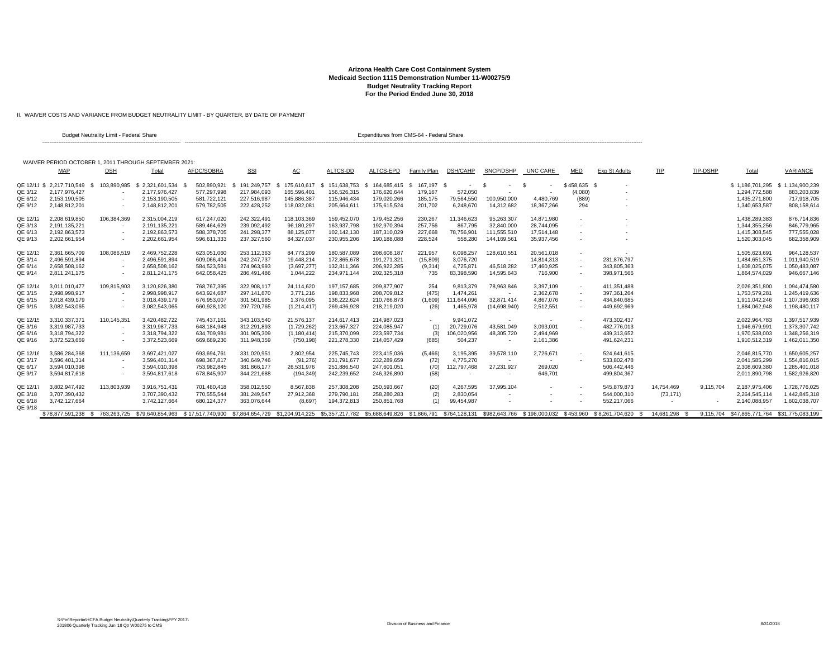#### **Arizona Health Care Cost Containment System Medicaid Section 1115 Demonstration Number 11-W00275/9 Budget Neutrality Tracking Report For the Period Ended June 30, 2018**

II. WAIVER COSTS AND VARIANCE FROM BUDGET NEUTRALITY LIMIT - BY QUARTER, BY DATE OF PAYMENT

|                    | Budget Neutrality Limit - Federal Share               |                          |                 | Expenditures from CMS-64 - Federal Share |                    |               |               |               |                   |                          |                |            |                          |                                                                                                                                                                                                                      |               |           |                                             |                 |
|--------------------|-------------------------------------------------------|--------------------------|-----------------|------------------------------------------|--------------------|---------------|---------------|---------------|-------------------|--------------------------|----------------|------------|--------------------------|----------------------------------------------------------------------------------------------------------------------------------------------------------------------------------------------------------------------|---------------|-----------|---------------------------------------------|-----------------|
|                    |                                                       |                          |                 |                                          |                    |               |               |               |                   |                          |                |            |                          |                                                                                                                                                                                                                      |               |           |                                             |                 |
|                    | WAIVER PERIOD OCTOBER 1, 2011 THROUGH SEPTEMBER 2021: |                          |                 |                                          |                    |               |               |               |                   |                          |                |            |                          |                                                                                                                                                                                                                      |               |           |                                             |                 |
|                    | MAP                                                   | <b>DSH</b>               | Total           | AFDC/SOBRA                               | <b>SSI</b>         | AC            | ALTCS-DD      | ALTCS-EPD     | Family Plan       | DSH/CAHP                 | SNCP/DSHP      | UNC CARE   | MED                      | Exp St Adults                                                                                                                                                                                                        | TIP           | TIP-DSHP  | Total                                       | VARIANCE        |
|                    | QE 12/11 \$ 2.217.710.549<br>- \$                     | 103,890,985              | \$2.321.601.534 | 502.890.921                              | 191.249.757<br>-86 | 175,610,617   | \$151,638,753 | \$164,685,415 | 167.197 \$<br>- S | $\sim$                   | - \$<br>$\sim$ | S          | \$458,635 \$             |                                                                                                                                                                                                                      |               |           | \$1,186,701,295                             | \$1.134.900.239 |
| QE 3/12            | 2.177.976.427                                         |                          | 2.177.976.427   | 577.297.998                              | 217.984.093        | 165.596.401   | 156.526.315   | 176.620.644   | 179.167           | 572.050                  |                |            | (4,080)                  |                                                                                                                                                                                                                      |               |           | 1,294,772,588                               | 883.203.839     |
| QE 6/12            | 2,153,190,505                                         |                          | 2,153,190,505   | 581,722,121                              | 227,516,987        | 145,886,387   | 115.946.434   | 179,020,266   | 185,175           | 79,564,550               | 100,950,000    | 4,480,769  | (889)                    |                                                                                                                                                                                                                      |               |           | 1,435,271,800                               | 717,918,705     |
| QE 9/12            | 2,148,812,201                                         | $\sim$                   | 2,148,812,201   | 579,782,505                              | 222,428,252        | 118,032,081   | 205,664,61    | 175,615,524   | 201,702           | 6,248,670                | 14,312,682     | 18,367,266 | 294                      |                                                                                                                                                                                                                      |               |           | 1,340,653,587                               | 808,158,614     |
| QE 12/12           | 2,208,619,850                                         | 106,384,369              | 2,315,004,219   | 617,247,020                              | 242,322,491        | 118,103,369   | 159,452,070   | 179,452,256   | 230,267           | 11,346,623               | 95,263,307     | 14,871,980 |                          |                                                                                                                                                                                                                      |               |           | 1,438,289,383                               | 876,714,836     |
| QE 3/13            | 2,191,135,221                                         |                          | 2,191,135,221   | 589,464,629                              | 239,092,492        | 96,180,297    | 163,937,798   | 192,970,394   | 257,756           | 867,795                  | 32,840,000     | 28,744,095 |                          |                                                                                                                                                                                                                      |               |           | 1,344,355,256                               | 846,779,965     |
| QE 6/13            | 2.192.863.573                                         | $\overline{\phantom{a}}$ | 2,192,863,573   | 588,378,705                              | 241,298,377        | 88,125,077    | 102,142,130   | 187,310,029   | 227,668           | 78,756,901               | 111,555,510    | 17,514,148 |                          |                                                                                                                                                                                                                      |               |           | 1,415,308,545                               | 777,555,028     |
| QE 9/13            | 2,202,661,954                                         | $\overline{\phantom{a}}$ | 2,202,661,954   | 596,611,333                              | 237,327,560        | 84,327,037    | 230,955,206   | 190,188,088   | 228,524           | 558,280                  | 144,169,561    | 35,937,456 |                          |                                                                                                                                                                                                                      |               |           | 1,520,303,045                               | 682,358,909     |
| QE 12/13           | 2.361.665.709                                         | 108.086.519              | 2.469.752.228   | 623,051,060                              | 253,112,363        | 84.773.209    | 180.587.089   | 208,608,187   | 221,957           | 6.098.257                | 128.610.551    | 20,561,018 |                          |                                                                                                                                                                                                                      |               |           | 1,505,623,69                                | 964.128.537     |
| QE 3/14            | 2,496,591,894                                         | $\sim$                   | 2,496,591,894   | 609,066,404                              | 242,247,737        | 19,448,214    | 172,865,678   | 191,271,321   | (15, 809)         | 3,076,720                | $\sim$         | 14,814,313 | $\sim$                   | 231,876,797                                                                                                                                                                                                          |               |           | 1,484,651,375                               | 1,011,940,519   |
| QE 6/14            | 2,658,508,162                                         |                          | 2,658,508,162   | 584,523,581                              | 274,963,993        | (3,697,277)   | 132,811,366   | 206,922,285   | (9,314)           | 4,725,871                | 46,518,282     | 17,460,925 | $\overline{\phantom{a}}$ | 343,805,363                                                                                                                                                                                                          |               |           | 1,608,025,075                               | 1,050,483,087   |
| QE 9/14            | 2,811,241,175                                         | $\overline{\phantom{a}}$ | 2,811,241,175   | 642,058,425                              | 286,491,486        | 1,044,222     | 234,971,144   | 202,325,318   | 735               | 83,398,590               | 14,595,643     | 716,900    |                          | 398,971,566                                                                                                                                                                                                          |               |           | 1,864,574,029                               | 946,667,146     |
| QE 12/14           | 3.011.010.477                                         | 109,815,903              | 3,120,826,380   | 768.767.395                              | 322.908.117        | 24.114.620    | 197.157.685   | 209.877.907   | 254               | 9.813.379                | 78,963,846     | 3.397.109  |                          | 411.351.488                                                                                                                                                                                                          |               |           | 2,026,351,800                               | 1.094.474.580   |
| QE 3/15            | 2.998.998.917                                         |                          | 2.998.998.917   | 643.924.687                              | 297.141.870        | 3.771.216     | 198.833.968   | 208.709.812   | (475)             | 1.474.26                 | $\sim$         | 2,362,678  |                          | 397.361.264                                                                                                                                                                                                          |               |           | 1.753.579.28                                | 1.245.419.636   |
| QE 6/15            | 3,018,439,179                                         |                          | 3,018,439,179   | 676,953,007                              | 301,501,985        | 1,376,095     | 136,222,624   | 210,766,873   | (1,609)           | 111,644,096              | 32,871,414     | 4,867,076  |                          | 434,840,685                                                                                                                                                                                                          |               |           | 1,911,042,246                               | 1,107,396,933   |
| QE 9/15            | 3,082,543,065                                         |                          | 3,082,543,065   | 660,928,120                              | 297,720,765        | (1, 214, 417) | 269,436,928   | 218,219,020   | (26)              | 1,465,978                | (14,698,940)   | 2,512,551  |                          | 449.692.969                                                                                                                                                                                                          |               |           | 1,884,062,948                               | 1,198,480,117   |
| QE 12/15           | 3.310.337.371                                         | 110.145.351              | 3.420.482.722   | 745.437.161                              | 343.103.540        | 21.576.137    | 214.617.413   | 214.987.023   |                   | 9.941.072                | $\sim$         |            |                          | 473.302.437                                                                                                                                                                                                          |               |           | 2.022.964.783                               | 1.397.517.939   |
| QE 3/16            | 3,319,987,733                                         |                          | 3.319.987.733   | 648.184.948                              | 312.291.893        | (1,729,262)   | 213.667.327   | 224.085.947   | (1)               | 20,729,076               | 43,581,049     | 3,093,001  |                          | 482.776.013                                                                                                                                                                                                          |               |           | 1,946,679,991                               | 1,373,307,742   |
| QE 6/16            | 3.318.794.322                                         |                          | 3.318.794.322   | 634.709.981                              | 301.905.309        | (1, 180, 414) | 215.370.099   | 223.597.734   | (3)               | 106,020,956              | 48,305,720     | 2,494,969  |                          | 439.313.652                                                                                                                                                                                                          |               |           | 1,970,538,003                               | 1.348.256.319   |
| QE 9/16            | 3,372,523,669                                         |                          | 3,372,523,669   | 669,689,230                              | 311,948,359        | (750, 198)    | 221,278,330   | 214,057,429   | (685)             | 504,237                  |                | 2,161,386  |                          | 491,624,231                                                                                                                                                                                                          |               |           | 1,910,512,319                               | 1,462,011,350   |
| QE 12/16           | 3.586.284.368                                         | 111,136,659              | 3,697,421,027   | 693,694,761                              | 331.020.951        | 2,802,954     | 225.745.743   | 223,415,036   | (5,466)           | 3.195.395                | 39,578,110     | 2,726,671  |                          | 524.641.615                                                                                                                                                                                                          |               |           | 2,046,815,770                               | 1.650.605.257   |
| QE 3/17            | 3.596.401.314                                         | $\sim$                   | 3.596.401.314   | 698.367.817                              | 340.649.746        | (91, 276)     | 231.791.677   | 232.289.659   | (72)              | 4.775.270                |                |            |                          | 533.802.478                                                                                                                                                                                                          |               |           | 2.041.585.299                               | 1.554.816.015   |
| QE 6/17            | 3,594,010,398                                         |                          | 3,594,010,398   | 753,982,845                              | 381,866,177        | 26,531,976    | 251,886,540   | 247,601,051   | (70)              | 112,797,468              | 27,231,927     | 269,020    |                          | 506,442,446                                                                                                                                                                                                          |               |           | 2,308,609,380                               | 1,285,401,018   |
| QE 9/17            | 3,594,817,618                                         | $\overline{\phantom{a}}$ | 3,594,817,618   | 678,845,907                              | 344,221,688        | (194, 349)    | 242,239,652   | 246,326,890   | (58)              | $\overline{\phantom{a}}$ | $\sim$         | 646,701    |                          | 499,804,367                                                                                                                                                                                                          |               |           | 2,011,890,798                               | 1,582,926,820   |
| QE 12/17           | 3.802.947.492                                         | 113.803.939              | 3.916.751.431   | 701.480.418                              | 358.012.550        | 8.567.838     | 257.308.208   | 250.593.667   | (20)              | 4.267.595                | 37,995,104     |            |                          | 545.879.873                                                                                                                                                                                                          | 14.754.469    | 9.115.704 | 2.187.975.406                               | 1.728.776.025   |
| QE 3/18            | 3.707.390.432                                         |                          | 3,707,390,432   | 770,555,544                              | 381,249,547        | 27,912,368    | 279,790,181   | 258,280,283   | (2)               | 2,830,054                |                |            |                          | 544,000,310                                                                                                                                                                                                          | (73, 171)     |           | 2,264,545,114                               | 1,442,845,318   |
| QE 6/18<br>QE 9/18 | 3,742,127,664                                         |                          | 3,742,127,664   | 680,124,377                              | 363,076,644        | (8,697)       | 194,372,813   | 250,851,768   | (1)               | 99,454,987               |                |            |                          | 552,217,066                                                                                                                                                                                                          | ٠             |           | 2,140,088,957                               | 1,602,038,707   |
|                    |                                                       |                          |                 |                                          |                    |               |               |               |                   |                          |                |            |                          | \$78,877,591,238 \$ 763,263,725 \$79,640,854,963 \$17,517,740,900 \$7,864,654,729 \$1,204,914,225 \$5,357,217,782 \$5,688,649,826 \$1,866,791 \$764,128,131 \$982,643,766 \$198,000,032 \$453,960 \$8,261,704,620 \$ | 14.681.298 \$ |           | 9.115.704 \$47.865.771.764 \$31.775.083.199 |                 |
|                    |                                                       |                          |                 |                                          |                    |               |               |               |                   |                          |                |            |                          |                                                                                                                                                                                                                      |               |           |                                             |                 |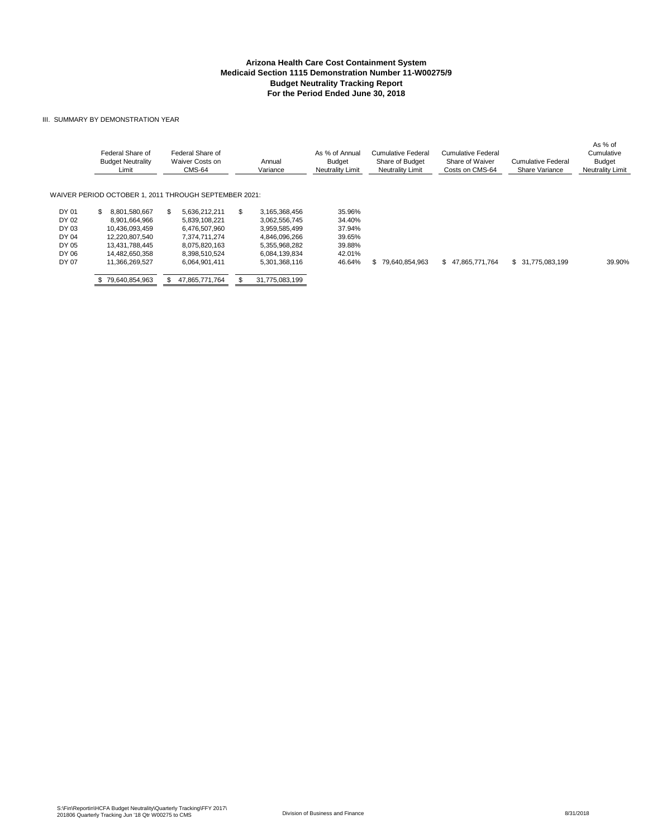#### **Arizona Health Care Cost Containment System Budget Neutrality Tracking Report For the Period Ended June 30, 2018 Medicaid Section 1115 Demonstration Number 11-W00275/9**

#### III. SUMMARY BY DEMONSTRATION YEAR

|       | Federal Share of<br><b>Budget Neutrality</b><br>Limit | Federal Share of<br>Waiver Costs on<br>CMS-64 | Annual<br>Variance  | As % of Annual<br>Budget<br><b>Neutrality Limit</b> | Cumulative Federal<br>Share of Budget<br><b>Neutrality Limit</b> | Cumulative Federal<br>Share of Waiver<br>Costs on CMS-64 | Cumulative Federal<br>Share Variance | As % of<br>Cumulative<br><b>Budget</b><br><b>Neutrality Limit</b> |
|-------|-------------------------------------------------------|-----------------------------------------------|---------------------|-----------------------------------------------------|------------------------------------------------------------------|----------------------------------------------------------|--------------------------------------|-------------------------------------------------------------------|
|       | WAIVER PERIOD OCTOBER 1, 2011 THROUGH SEPTEMBER 2021: |                                               |                     |                                                     |                                                                  |                                                          |                                      |                                                                   |
| DY 01 | 8.801.580.667<br>\$.                                  | 5.636.212.211                                 | \$<br>3,165,368,456 | 35.96%                                              |                                                                  |                                                          |                                      |                                                                   |
| DY 02 | 8,901,664,966                                         | 5.839.108.221                                 | 3,062,556,745       | 34.40%                                              |                                                                  |                                                          |                                      |                                                                   |
| DY 03 | 10.436.093.459                                        | 6,476,507,960                                 | 3,959,585,499       | 37.94%                                              |                                                                  |                                                          |                                      |                                                                   |
| DY 04 | 12.220.807.540                                        | 7.374.711.274                                 | 4.846.096.266       | 39.65%                                              |                                                                  |                                                          |                                      |                                                                   |
| DY 05 | 13.431.788.445                                        | 8.075.820.163                                 | 5,355,968,282       | 39.88%                                              |                                                                  |                                                          |                                      |                                                                   |
| DY 06 | 14,482,650,358                                        | 8,398,510,524                                 | 6,084,139,834       | 42.01%                                              |                                                                  |                                                          |                                      |                                                                   |
| DY 07 | 11.366.269.527                                        | 6,064,901,411                                 | 5,301,368,116       | 46.64%                                              | \$79.640.854.963                                                 | \$47,865,771,764                                         | \$ 31,775,083,199                    | 39.90%                                                            |
|       | 79.640.854.963                                        | 47,865,771,764                                | 31,775,083,199      |                                                     |                                                                  |                                                          |                                      |                                                                   |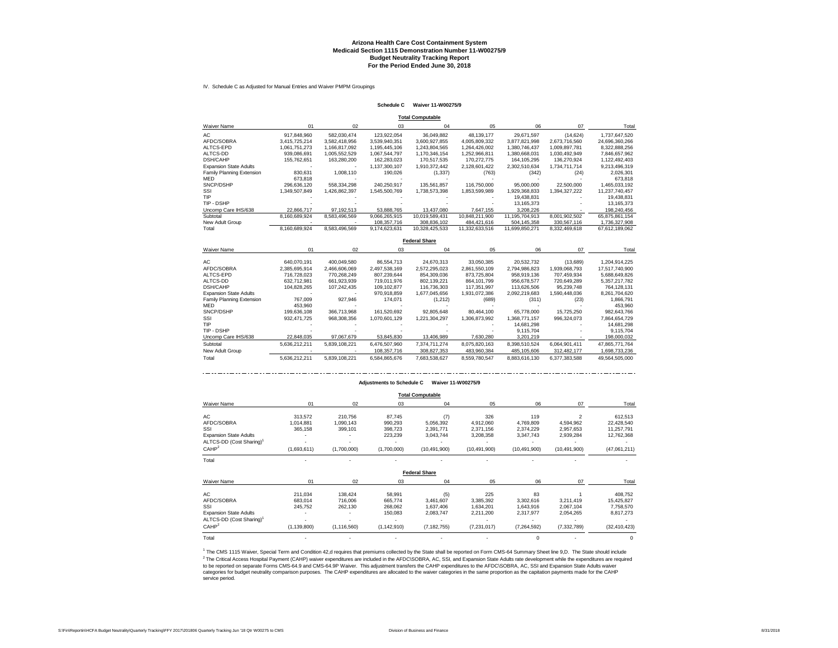#### **Arizona Health Care Cost Containment System Budget Neutrality Tracking Report For the Period Ended June 30, 2018 Medicaid Section 1115 Demonstration Number 11-W00275/9**

IV. Schedule C as Adjusted for Manual Entries and Waiver PMPM Groupings

#### **Schedule C Waiver 11-W00275/9**

| <b>Total Computable</b>       |               |               |               |                |                |                |               |                |  |  |  |  |
|-------------------------------|---------------|---------------|---------------|----------------|----------------|----------------|---------------|----------------|--|--|--|--|
| <b>Waiver Name</b>            | 01            | 02            | 03            | 04             | 05             | 06             | 07            | Total          |  |  |  |  |
| AC                            | 917.848.960   | 582.030.474   | 123,922,054   | 36.049.882     | 48,139,177     | 29,671,597     | (14, 624)     | 1,737,647,520  |  |  |  |  |
| AFDC/SOBRA                    | 3.415.725.214 | 3.582.418.956 | 3.539.940.351 | 3.600.927.855  | 4,005,809,332  | 3,877,821,998  | 2.673.716.560 | 24.696.360.266 |  |  |  |  |
| ALTCS-EPD                     | 1.061.751.273 | 1.166.817.092 | 1,195,445,106 | 1.243.804.565  | 1.264.426.002  | 1.380.746.437  | 1.009.897.781 | 8.322.888.256  |  |  |  |  |
| ALTCS-DD                      | 939.086.691   | 1.005.552.529 | 1.067.544.797 | 1.170.346.154  | 1.252.966.811  | 1.380.668.031  | 1.030.492.949 | 7.846.657.962  |  |  |  |  |
| <b>DSH/CAHP</b>               | 155,762,651   | 163,280,200   | 162,283,023   | 170,517,535    | 170,272,775    | 164, 105, 295  | 136.270.924   | 1,122,492,403  |  |  |  |  |
| <b>Expansion State Adults</b> |               |               | 1.137.300.107 | 1,910,372,442  | 2,128,601,422  | 2.302.510.634  | 1.734.711.714 | 9,213,496,319  |  |  |  |  |
| Family Planning Extension     | 830.631       | 1.008.110     | 190.026       | (1, 337)       | (763)          | (342)          | (24)          | 2.026.301      |  |  |  |  |
| <b>MED</b>                    | 673.818       |               |               |                |                |                |               | 673.818        |  |  |  |  |
| SNCP/DSHP                     | 296.636.120   | 558.334.298   | 240.250.917   | 135.561.857    | 116.750.000    | 95,000,000     | 22,500,000    | 1.465.033.192  |  |  |  |  |
| SSI                           | 1.349.507.849 | 1.426.862.397 | 1.545.500.769 | 1.738.573.398  | 1,853,599,989  | 1.929.368.833  | 1.394.327.222 | 11.237.740.457 |  |  |  |  |
| TIP                           |               |               |               |                |                | 19.438.831     |               | 19.438.831     |  |  |  |  |
| TIP - DSHP                    |               |               |               |                |                | 13.165.373     |               | 13.165.373     |  |  |  |  |
| Uncomp Care IHS/638           | 22.866.717    | 97.192.513    | 53.888.765    | 13,437,080     | 7.647.155      | 3.208.226      |               | 198,240,456    |  |  |  |  |
| Subtotal                      | 8.160.689.924 | 8.583.496.569 | 9,066,265,915 | 10.019.589.431 | 10.848.211.900 | 11.195.704.913 | 8.001.902.502 | 65,875,861,154 |  |  |  |  |
| New Adult Group               |               |               | 108.357.716   | 308.836.102    | 484.421.616    | 504.145.358    | 330.567.116   | 1.736.327.908  |  |  |  |  |
| Total                         | 8.160.689.924 | 8.583.496.569 | 9.174.623.631 | 10.328.425.533 | 11.332.633.516 | 11.699.850.271 | 8.332.469.618 | 67.612.189.062 |  |  |  |  |

#### **Federal Share**

| <b>Waiver Name</b>            | 01            | 02            | 03            | 04            | 05            | 06            | 07            | Total          |
|-------------------------------|---------------|---------------|---------------|---------------|---------------|---------------|---------------|----------------|
|                               |               |               |               |               |               |               |               |                |
| AC                            | 640.070.191   | 400.049.580   | 86.554.713    | 24.670.313    | 33,050,385    | 20,532,732    | (13,689)      | 1,204,914,225  |
| AFDC/SOBRA                    | 2.385.695.914 | 2.466.606.069 | 2.497.538.169 | 2.572.295.023 | 2.861.550.109 | 2.794.986.823 | 1.939.068.793 | 17.517.740.900 |
| ALTCS-EPD                     | 716.728.023   | 770.268.249   | 807.239.644   | 854,309,036   | 873,725,804   | 958.919.136   | 707.459.934   | 5,688,649,826  |
| ALTCS-DD                      | 632.712.981   | 661.923.939   | 719.011.976   | 802.139.221   | 864.101.799   | 956,678,577   | 720.649.289   | 5.357.217.782  |
| <b>DSH/CAHP</b>               | 104.828.265   | 107.242.435   | 109.102.877   | 116.736.303   | 117.351.997   | 113.626.506   | 95.239.748    | 764.128.131    |
| <b>Expansion State Adults</b> |               |               | 970.918.859   | 1,677,045,656 | 1,931,072,386 | 2,092,219,683 | 1.590.448.036 | 8,261,704,620  |
| Family Planning Extension     | 767.009       | 927.946       | 174.071       | (1, 212)      | (689)         | (311)         | (23)          | 1.866.791      |
| <b>MED</b>                    | 453.960       |               |               |               |               |               |               | 453.960        |
| SNCP/DSHP                     | 199.636.108   | 366,713,968   | 161.520.692   | 92.805.648    | 80.464.100    | 65.778.000    | 15.725.250    | 982.643.766    |
| SSI                           | 932.471.725   | 968.308.356   | 1.070.601.129 | 1.221.304.297 | 1.306.873.992 | 1.368.771.157 | 996.324.073   | 7,864,654,729  |
| TIP                           |               |               |               |               |               | 14.681.298    |               | 14.681.298     |
| TIP - DSHP                    |               |               |               |               |               | 9.115.704     |               | 9,115,704      |
| Uncomp Care IHS/638           | 22.848.035    | 97.067.679    | 53.845.830    | 13,406,989    | 7.630.280     | 3.201.219     |               | 198,000,032    |
| Subtotal                      | 5.636.212.211 | 5,839,108,221 | 6,476,507,960 | 7.374.711.274 | 8,075,820,163 | 8,398,510,524 | 6,064,901,411 | 47,865,771,764 |
| New Adult Group               |               |               | 108,357,716   | 308.827.353   | 483.960.384   | 485.105.606   | 312.482.177   | 1.698.733.236  |
| Total                         | 5.636.212.211 | 5.839.108.221 | 6.584.865.676 | 7.683.538.627 | 8.559.780.547 | 8.883.616.130 | 6.377.383.588 | 49.564.505.000 |

#### **Adjustments to Schedule C Waiver 11-W00275/9**

**Total Computable**

|                                      |               |               |               | rotar oompatasit     |                |                |                |                |
|--------------------------------------|---------------|---------------|---------------|----------------------|----------------|----------------|----------------|----------------|
| Waiver Name                          | 01            | 02            | 03            | 04                   | 05             | 06             | 07             | Total          |
| AC                                   | 313,572       | 210.756       | 87,745        | (7)                  | 326            | 119            | 2              | 612,513        |
| AFDC/SOBRA                           | 1,014,881     | 1,090,143     | 990,293       | 5,056,392            | 4,912,060      | 4,769,809      | 4,594,962      | 22,428,540     |
| SSI                                  | 365,158       | 399,101       | 398,723       | 2,391,771            | 2,371,156      | 2,374,229      | 2,957,653      | 11,257,791     |
| <b>Expansion State Adults</b>        |               |               | 223,239       | 3,043,744            | 3,208,358      | 3,347,743      | 2,939,284      | 12,762,368     |
| ALTCS-DD (Cost Sharing) <sup>1</sup> |               |               |               |                      |                |                |                |                |
| CAHP <sup>2</sup>                    | (1,693,611)   | (1,700,000)   | (1,700,000)   | (10, 491, 900)       | (10, 491, 900) | (10, 491, 900) | (10, 491, 900) | (47,061,211)   |
| Total                                |               |               |               |                      |                |                |                |                |
|                                      |               |               |               | <b>Federal Share</b> |                |                |                |                |
| Waiver Name                          | 01            | 02            | 03            | 04                   | 05             | 06             | 07             | Total          |
| AC                                   | 211,034       | 138,424       | 58,991        | (5)                  | 225            | 83             |                | 408,752        |
| AFDC/SOBRA                           | 683,014       | 716,006       | 665,774       | 3,461,607            | 3,385,392      | 3,302,616      | 3,211,419      | 15,425,827     |
| SSI                                  | 245,752       | 262,130       | 268,062       | 1,637,406            | 1,634,201      | 1,643,916      | 2,067,104      | 7,758,570      |
| <b>Expansion State Adults</b>        |               |               | 150,083       | 2,083,747            | 2,211,200      | 2,317,977      | 2,054,265      | 8,817,273      |
| ALTCS-DD (Cost Sharing) <sup>1</sup> |               |               |               |                      |                |                |                |                |
| CAHP <sup>2</sup>                    | (1, 139, 800) | (1, 116, 560) | (1, 142, 910) | (7, 182, 755)        | (7,231,017)    | (7,264,592)    | (7, 332, 789)  | (32, 410, 423) |
| Total                                |               |               |               |                      |                | $\Omega$       |                |                |

<sup>2</sup> The Critical Access Hospital Payment (CAHP) waiver expenditures are included in the AFDC\SOBRA, AC, SSI, and Expansion State Adults rate development while the expenditures are required<br>to be reported on separate Forms categories for budget neutrality comparison purposes. The CAHP expenditures are allocated to the waiver categories in the same proportion as the capitation payments made for the CAHP service period. <sup>1</sup> The CMS 1115 Waiver, Special Term and Condition 42,d requires that premiums collected by the State shall be reported on Form CMS-64 Summary Sheet line 9,D. The State should include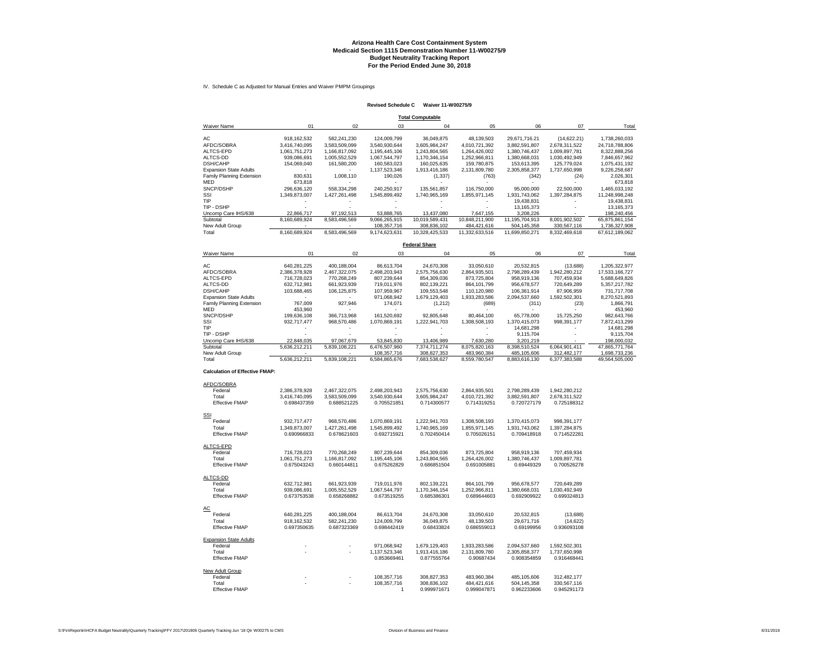#### **Arizona Health Care Cost Containment System Budget Neutrality Tracking Report Medicaid Section 1115 Demonstration Number 11-W00275/9 For the Period Ended June 30, 2018**

IV. Schedule C as Adjusted for Manual Entries and Waiver PMPM Groupings

#### **Revised Schedule C Waiver 11-W00275/9**

| <b>Total Computable</b>               |                              |                              |                              |                              |                              |                              |                                           |                                 |  |  |  |
|---------------------------------------|------------------------------|------------------------------|------------------------------|------------------------------|------------------------------|------------------------------|-------------------------------------------|---------------------------------|--|--|--|
| Waiver Name                           | 01                           | 02                           | 03                           | 04                           | 05                           | 06                           | 07                                        | Total                           |  |  |  |
| AC                                    | 918, 162, 532                | 582,241,230                  | 124,009,799                  | 36,049,875                   | 48,139,503                   | 29,671,716.21                | (14, 622.21)                              | 1,738,260,033                   |  |  |  |
| AFDC/SOBRA                            | 3,416,740,095                | 3,583,509,099                | 3,540,930,644                | 3,605,984,247                | 4,010,721,392                | 3,882,591,807                | 2,678,311,522                             | 24,718,788,806                  |  |  |  |
| ALTCS-EPD                             | 1,061,751,273                | 1,166,817,092                | 1,195,445,106                | 1,243,804,565                | 1,264,426,002                | 1,380,746,437                | 1,009,897,781                             | 8,322,888,256                   |  |  |  |
| ALTCS-DD                              | 939,086,691                  | 1,005,552,529                | 1,067,544,797                | 1,170,346,154                | 1,252,966,811                | 1,380,668,031                | 1,030,492,949                             | 7,846,657,962                   |  |  |  |
| <b>DSH/CAHP</b>                       | 154,069,040                  | 161,580,200                  | 160,583,023                  | 160,025,635                  | 159,780,875                  | 153,613,395                  | 125,779,024                               | 1,075,431,192                   |  |  |  |
| <b>Expansion State Adults</b>         |                              |                              | 1,137,523,346                | 1,913,416,186                | 2,131,809,780                | 2,305,858,377                | 1,737,650,998                             | 9,226,258,687                   |  |  |  |
| Family Planning Extension             | 830,631                      | 1,008,110                    | 190,026                      | (1, 337)                     | (763)                        | (342)                        | (24)                                      | 2,026,301                       |  |  |  |
| MED                                   | 673,818                      |                              |                              |                              |                              |                              |                                           | 673,818                         |  |  |  |
| SNCP/DSHP<br>SSI                      | 296,636,120<br>1,349,873,007 | 558,334,298                  | 240,250,917                  | 135,561,857                  | 116,750,000                  | 95,000,000                   | 22,500,000                                | 1,465,033,192<br>11,248,998,248 |  |  |  |
| TIP                                   | $\tilde{\phantom{a}}$        | 1,427,261,498                | 1,545,899,492                | 1,740,965,169<br>$\sim$      | 1,855,971,145                | 1,931,743,062<br>19,438,831  | 1,397,284,875<br>$\overline{\phantom{a}}$ | 19,438,831                      |  |  |  |
| TIP - DSHP                            |                              |                              |                              |                              |                              | 13,165,373                   | ÷,                                        | 13, 165, 373                    |  |  |  |
| Uncomp Care IHS/638                   | 22,866,717                   | 97,192,513                   | 53,888,765                   | 13,437,080                   | 7,647,155                    | 3,208,226                    |                                           | 198,240,456                     |  |  |  |
| Subtotal                              | 8,160,689,924                | 8,583,496,569                | 9,066,265,915                | 10,019,589,431               | 10,848,211,900               | 11,195,704,913               | 8,001,902,502                             | 65,875,861,154                  |  |  |  |
| New Adult Group                       |                              |                              | 108,357,716                  | 308,836,102                  | 484,421,616                  | 504,145,358                  | 330,567,116                               | 1,736,327,908                   |  |  |  |
| Total                                 | 8,160,689,924                | 8,583,496,569                | 9,174,623,631                | 10,328,425,533               | 11,332,633,516               | 11,699,850,271               | 8,332,469,618                             | 67,612,189,062                  |  |  |  |
|                                       |                              |                              |                              | <b>Federal Share</b>         |                              |                              |                                           |                                 |  |  |  |
| Waiver Name                           | 01                           | 02                           | 03                           | 04                           | 05                           | 06                           | 07                                        | Total                           |  |  |  |
|                                       |                              |                              |                              |                              |                              |                              |                                           |                                 |  |  |  |
| AC                                    | 640,281,225                  | 400,188,004                  | 86,613,704                   | 24,670,308                   | 33,050,610                   | 20,532,815                   | (13, 688)                                 | 1,205,322,977                   |  |  |  |
| AFDC/SOBRA                            | 2,386,378,928                | 2,467,322,075                | 2.498.203.943                | 2,575,756,630                | 2,864,935,501                | 2,798,289,439                | 1,942,280,212                             | 17,533,166,727                  |  |  |  |
| ALTCS-EPD                             | 716,728,023                  | 770,268,249                  | 807,239,644                  | 854,309,036                  | 873,725,804                  | 958,919,136                  | 707,459,934                               | 5,688,649,826                   |  |  |  |
| ALTCS-DD                              | 632,712,981                  | 661,923,939                  | 719,011,976                  | 802,139,221                  | 864, 101, 799                | 956,678,577                  | 720,649,289                               | 5,357,217,782                   |  |  |  |
| DSH/CAHP                              | 103,688,465                  | 106, 125, 875                | 107,959,967                  | 109,553,548                  | 110,120,980                  | 106,361,914                  | 87,906,959                                | 731,717,708                     |  |  |  |
| <b>Expansion State Adults</b>         |                              |                              | 971,068,942                  | 1,679,129,403                | 1,933,283,586                | 2,094,537,660                | 1,592,502,301                             | 8,270,521,893                   |  |  |  |
| Family Planning Extension             | 767,009                      | 927,946                      | 174,071                      | (1, 212)                     | (689)                        | (311)                        | (23)                                      | 1,866,791                       |  |  |  |
| <b>MED</b>                            | 453,960                      |                              |                              |                              |                              |                              |                                           | 453,960                         |  |  |  |
| SNCP/DSHP<br>SSI                      | 199,636,108<br>932,717,477   | 366,713,968<br>968,570,486   | 161,520,692<br>1,070,869,191 | 92,805,648<br>1,222,941,703  | 80,464,100<br>1,308,508,193  | 65,778,000<br>1,370,415,073  | 15,725,250<br>998,391,177                 | 982,643,766<br>7,872,413,299    |  |  |  |
| TIP                                   |                              |                              |                              |                              |                              | 14,681,298                   |                                           | 14,681,298                      |  |  |  |
| TIP - DSHP                            |                              |                              |                              |                              |                              | 9,115,704                    |                                           | 9,115,704                       |  |  |  |
| Uncomp Care IHS/638                   | 22,848,035                   | 97,067,679                   | 53,845,830                   | 13,406,989                   | 7,630,280                    | 3,201,219                    |                                           | 198,000,032                     |  |  |  |
| Subtotal                              | 5,636,212,211                | 5,839,108,221                | 6,476,507,960                | 7,374,711,274                | 8,075,820,163                | 8,398,510,524                | 6,064,901,411                             | 47,865,771,764                  |  |  |  |
| New Adult Group                       |                              |                              | 108,357,716                  | 308,827,353                  | 483,960,384                  | 485,105,606                  | 312,482,177                               | 1,698,733,236                   |  |  |  |
| Total                                 | 5,636,212,211                | 5,839,108,221                | 6,584,865,676                | 7,683,538,627                | 8,559,780,547                | 8,883,616,130                | 6,377,383,588                             | 49,564,505,000                  |  |  |  |
| <b>Calculation of Effective FMAP:</b> |                              |                              |                              |                              |                              |                              |                                           |                                 |  |  |  |
|                                       |                              |                              |                              |                              |                              |                              |                                           |                                 |  |  |  |
| AFDC/SOBRA                            |                              |                              |                              |                              |                              |                              |                                           |                                 |  |  |  |
| Federal<br>Total                      | 2,386,378,928                | 2,467,322,075                | 2,498,203,943                | 2,575,756,630                | 2,864,935,501                | 2,798,289,439                | 1,942,280,212                             |                                 |  |  |  |
| <b>Effective FMAP</b>                 | 3,416,740,095<br>0.698437359 | 3,583,509,099<br>0.688521225 | 3,540,930,644<br>0.705521851 | 3,605,984,247<br>0.714300577 | 4,010,721,392<br>0.714319251 | 3,882,591,807<br>0.720727179 | 2,678,311,522<br>0.725188312              |                                 |  |  |  |
|                                       |                              |                              |                              |                              |                              |                              |                                           |                                 |  |  |  |
| SSI                                   |                              |                              |                              |                              |                              |                              |                                           |                                 |  |  |  |
| Federal                               | 932,717,477                  | 968,570,486                  | 1,070,869,191                | 1,222,941,703                | 1,308,508,193                | 1,370,415,073                | 998,391,177                               |                                 |  |  |  |
| Total                                 | 1,349,873,007                | 1,427,261,498                | 1,545,899,492                | 1,740,965,169                | 1,855,971,145                | 1,931,743,062                | 1,397,284,875                             |                                 |  |  |  |
| <b>Effective FMAP</b>                 | 0.690966833                  | 0.678621603                  | 0.692715921                  | 0.702450414                  | 0.705026151                  | 0.709418918                  | 0.714522281                               |                                 |  |  |  |
|                                       |                              |                              |                              |                              |                              |                              |                                           |                                 |  |  |  |
| ALTCS-EPD                             |                              |                              |                              |                              |                              |                              |                                           |                                 |  |  |  |
| Federal                               | 716,728,023                  | 770,268,249                  | 807,239,644                  | 854,309,036                  | 873,725,804                  | 958,919,136                  | 707,459,934                               |                                 |  |  |  |
| Total                                 | 1,061,751,273                | 1,166,817,092                | 1,195,445,106                | 1,243,804,565                | 1,264,426,002                | 1,380,746,437                | 1,009,897,781                             |                                 |  |  |  |
| <b>Effective FMAP</b>                 | 0.675043243                  | 0.660144811                  | 0.675262829                  | 0.686851504                  | 0.691005881                  | 0.69449329                   | 0.700526278                               |                                 |  |  |  |
| ALTCS-DD                              |                              |                              |                              |                              |                              |                              |                                           |                                 |  |  |  |
| Federal                               | 632,712,981                  | 661,923,939                  | 719,011,976                  | 802,139,221                  | 864,101,799                  | 956,678,577                  | 720,649,289                               |                                 |  |  |  |
| Total                                 | 939,086,691                  | 1,005,552,529                | 1,067,544,797                | 1,170,346,154                | 1,252,966,811                | 1,380,668,031                | 1.030.492.949                             |                                 |  |  |  |
| <b>Effective FMAP</b>                 | 0.673753538                  | 0.658268882                  | 0.673519255                  | 0.685386301                  | 0.689644603                  | 0.692909922                  | 0.699324813                               |                                 |  |  |  |
|                                       |                              |                              |                              |                              |                              |                              |                                           |                                 |  |  |  |
| <b>AC</b>                             |                              |                              |                              |                              |                              |                              |                                           |                                 |  |  |  |
| Federal                               | 640,281,225                  | 400,188,004                  | 86,613,704                   | 24,670,308                   | 33,050,610                   | 20,532,815                   | (13,688)                                  |                                 |  |  |  |
| Total                                 | 918, 162, 532                | 582,241,230                  | 124,009,799                  | 36,049,875                   | 48,139,503                   | 29,671,716                   | (14, 622)                                 |                                 |  |  |  |
| <b>Effective FMAP</b>                 | 0.697350635                  | 0.687323369                  | 0.698442419                  | 0.68433824                   | 0.686559013                  | 0.69199956                   | 0.936093108                               |                                 |  |  |  |
| <b>Expansion State Adults</b>         |                              |                              |                              |                              |                              |                              |                                           |                                 |  |  |  |
| Federal                               |                              |                              | 971,068,942                  | 1,679,129,403                | 1,933,283,586                | 2,094,537,660                | 1,592,502,301                             |                                 |  |  |  |
| Total                                 |                              |                              | 1,137,523,346                | 1,913,416,186                | 2,131,809,780                | 2,305,858,377                | 1,737,650,998                             |                                 |  |  |  |
| <b>Effective FMAP</b>                 |                              |                              | 0.853669461                  | 0.877555764                  | 0.90687434                   | 0.908354859                  | 0.916468441                               |                                 |  |  |  |
|                                       |                              |                              |                              |                              |                              |                              |                                           |                                 |  |  |  |
| New Adult Group                       |                              |                              |                              |                              |                              |                              |                                           |                                 |  |  |  |
| Federal                               |                              |                              | 108,357,716                  | 308,827,353                  | 483,960,384                  | 485,105,606                  | 312,482,177                               |                                 |  |  |  |
| Total                                 |                              |                              | 108,357,716                  | 308.836.102                  | 484.421.616                  | 504,145,358                  | 330.567.116                               |                                 |  |  |  |
| <b>Effective FMAP</b>                 |                              |                              | 1                            | 0.999971671                  | 0.999047871                  | 0.962233606                  | 0.945291173                               |                                 |  |  |  |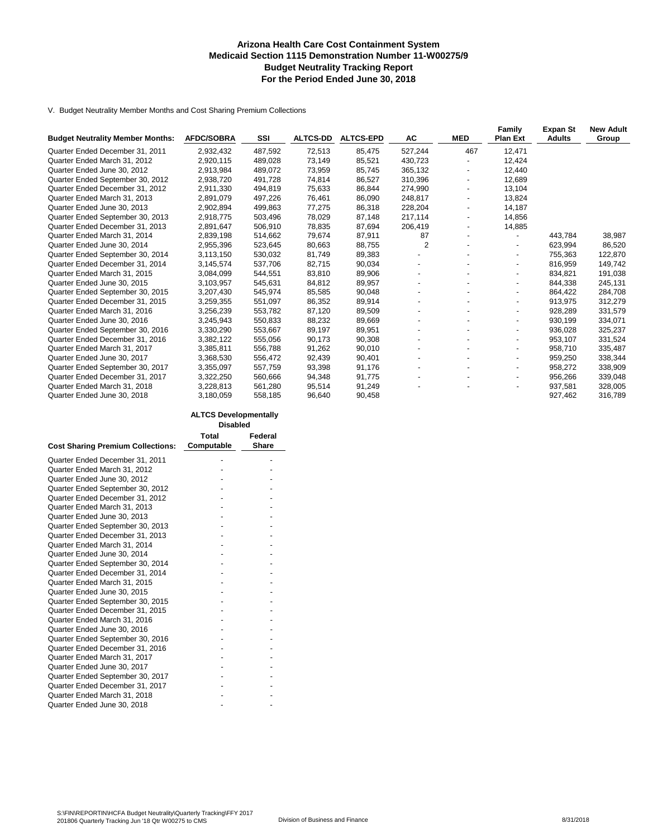#### **Arizona Health Care Cost Containment System Medicaid Section 1115 Demonstration Number 11-W00275/9 Budget Neutrality Tracking Report For the Period Ended June 30, 2018**

V. Budget Neutrality Member Months and Cost Sharing Premium Collections

| <b>Budget Neutrality Member Months:</b> | <b>AFDC/SOBRA</b> | SSI     | <b>ALTCS-DD</b> | <b>ALTCS-EPD</b> | AC                       | <b>MED</b>               | Family<br><b>Plan Ext</b> | <b>Expan St</b><br><b>Adults</b> | <b>New Adult</b><br>Group |
|-----------------------------------------|-------------------|---------|-----------------|------------------|--------------------------|--------------------------|---------------------------|----------------------------------|---------------------------|
|                                         |                   |         |                 |                  |                          |                          |                           |                                  |                           |
| Quarter Ended December 31, 2011         | 2,932,432         | 487,592 | 72,513          | 85,475           | 527,244                  | 467                      | 12,471                    |                                  |                           |
| Quarter Ended March 31, 2012            | 2,920,115         | 489,028 | 73,149          | 85,521           | 430,723                  |                          | 12,424                    |                                  |                           |
| Quarter Ended June 30, 2012             | 2.913.984         | 489.072 | 73,959          | 85.745           | 365.132                  |                          | 12.440                    |                                  |                           |
| Quarter Ended September 30, 2012        | 2,938,720         | 491,728 | 74,814          | 86,527           | 310,396                  |                          | 12,689                    |                                  |                           |
| Quarter Ended December 31, 2012         | 2,911,330         | 494,819 | 75,633          | 86,844           | 274,990                  | $\blacksquare$           | 13,104                    |                                  |                           |
| Quarter Ended March 31, 2013            | 2.891.079         | 497.226 | 76,461          | 86.090           | 248.817                  |                          | 13.824                    |                                  |                           |
| Quarter Ended June 30, 2013             | 2,902,894         | 499,863 | 77,275          | 86,318           | 228,204                  |                          | 14,187                    |                                  |                           |
| Quarter Ended September 30, 2013        | 2,918,775         | 503,496 | 78,029          | 87,148           | 217,114                  |                          | 14,856                    |                                  |                           |
| Quarter Ended December 31, 2013         | 2,891,647         | 506,910 | 78,835          | 87,694           | 206,419                  | $\overline{\phantom{0}}$ | 14,885                    |                                  |                           |
| Quarter Ended March 31, 2014            | 2,839,198         | 514,662 | 79,674          | 87,911           | 87                       |                          |                           | 443.784                          | 38,987                    |
| Quarter Ended June 30, 2014             | 2,955,396         | 523,645 | 80,663          | 88,755           | 2                        |                          | $\blacksquare$            | 623,994                          | 86,520                    |
| Quarter Ended September 30, 2014        | 3,113,150         | 530,032 | 81,749          | 89,383           | $\blacksquare$           |                          |                           | 755,363                          | 122,870                   |
| Quarter Ended December 31, 2014         | 3.145.574         | 537.706 | 82,715          | 90.034           |                          |                          | $\overline{\phantom{a}}$  | 816.959                          | 149,742                   |
| Quarter Ended March 31, 2015            | 3,084,099         | 544,551 | 83,810          | 89,906           |                          |                          |                           | 834,821                          | 191,038                   |
| Quarter Ended June 30, 2015             | 3,103,957         | 545,631 | 84,812          | 89,957           |                          |                          | $\overline{\phantom{a}}$  | 844,338                          | 245,131                   |
| Quarter Ended September 30, 2015        | 3,207,430         | 545,974 | 85,585          | 90,048           |                          |                          | $\overline{\phantom{a}}$  | 864,422                          | 284,708                   |
| Quarter Ended December 31, 2015         | 3,259,355         | 551,097 | 86,352          | 89,914           |                          |                          | $\overline{\phantom{a}}$  | 913,975                          | 312,279                   |
| Quarter Ended March 31, 2016            | 3,256,239         | 553,782 | 87,120          | 89,509           |                          |                          | $\blacksquare$            | 928,289                          | 331,579                   |
| Quarter Ended June 30, 2016             | 3,245,943         | 550,833 | 88,232          | 89,669           |                          |                          |                           | 930,199                          | 334,071                   |
| Quarter Ended September 30, 2016        | 3,330,290         | 553,667 | 89,197          | 89,951           | $\overline{\phantom{a}}$ |                          | $\overline{\phantom{a}}$  | 936,028                          | 325,237                   |
| Quarter Ended December 31, 2016         | 3,382,122         | 555,056 | 90,173          | 90,308           |                          |                          |                           | 953,107                          | 331,524                   |
| Quarter Ended March 31, 2017            | 3,385,811         | 556,788 | 91,262          | 90,010           |                          |                          | $\blacksquare$            | 958,710                          | 335,487                   |
| Quarter Ended June 30, 2017             | 3,368,530         | 556,472 | 92,439          | 90,401           |                          |                          |                           | 959,250                          | 338,344                   |
| Quarter Ended September 30, 2017        | 3,355,097         | 557,759 | 93,398          | 91,176           |                          |                          | $\overline{\phantom{a}}$  | 958,272                          | 338,909                   |
| Quarter Ended December 31, 2017         | 3,322,250         | 560,666 | 94,348          | 91,775           |                          |                          | $\overline{\phantom{a}}$  | 956,266                          | 339,048                   |
| Quarter Ended March 31, 2018            | 3,228,813         | 561,280 | 95,514          | 91,249           |                          |                          |                           | 937,581                          | 328,005                   |
| Quarter Ended June 30, 2018             | 3,180,059         | 558,185 | 96,640          | 90,458           |                          |                          |                           | 927,462                          | 316,789                   |

|                                          | <b>Disabled</b> |         |
|------------------------------------------|-----------------|---------|
|                                          | Total           | Federal |
| <b>Cost Sharing Premium Collections:</b> | Computable      | Share   |
| Quarter Ended December 31, 2011          |                 |         |
| Quarter Ended March 31, 2012             |                 |         |
| Quarter Ended June 30, 2012              |                 |         |
| Quarter Ended September 30, 2012         |                 |         |
| Quarter Ended December 31, 2012          |                 |         |
| Quarter Ended March 31, 2013             |                 |         |
| Quarter Ended June 30, 2013              |                 |         |
| Quarter Ended September 30, 2013         |                 |         |
| Quarter Ended December 31, 2013          |                 |         |
| Quarter Ended March 31, 2014             |                 |         |
| Quarter Ended June 30, 2014              |                 |         |
| Quarter Ended September 30, 2014         |                 |         |
| Quarter Ended December 31, 2014          |                 |         |
| Quarter Ended March 31, 2015             |                 |         |
| Quarter Ended June 30, 2015              |                 |         |
| Quarter Ended September 30, 2015         |                 |         |
| Quarter Ended December 31, 2015          |                 |         |
| Quarter Ended March 31, 2016             |                 |         |
| Quarter Ended June 30, 2016              |                 |         |
| Quarter Ended September 30, 2016         |                 |         |
| Quarter Ended December 31, 2016          |                 |         |
| Quarter Ended March 31, 2017             |                 |         |
| Quarter Ended June 30, 2017              |                 |         |
| Quarter Ended September 30, 2017         |                 |         |
| Quarter Ended December 31, 2017          |                 |         |
| Quarter Ended March 31, 2018             |                 |         |
| Quarter Ended June 30, 2018              |                 |         |

**ALTCS Developmentally**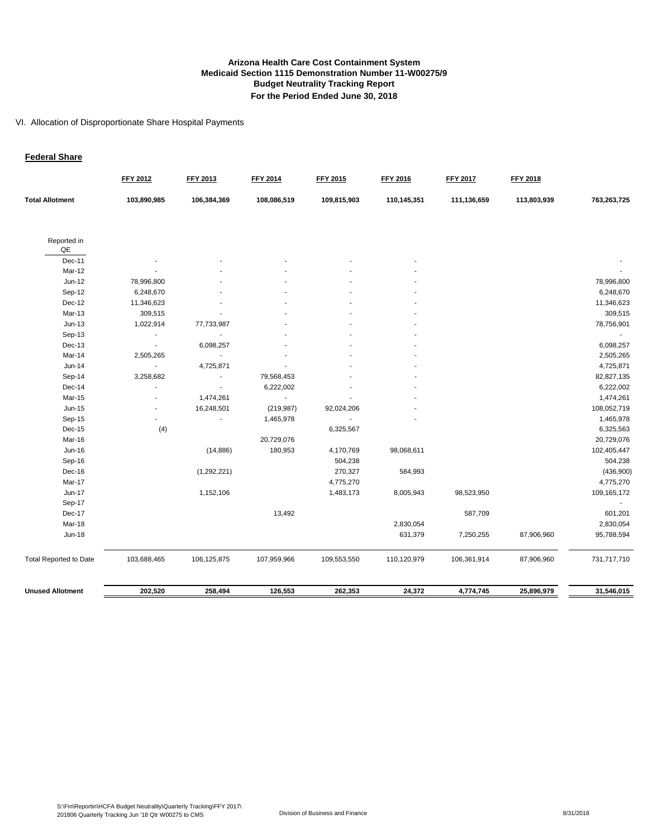#### **Arizona Health Care Cost Containment System Budget Neutrality Tracking Report For the Period Ended June 30, 2018 Medicaid Section 1115 Demonstration Number 11-W00275/9**

#### VI. Allocation of Disproportionate Share Hospital Payments

#### **Federal Share**

|                               | <b>FFY 2012</b> | <b>FFY 2013</b> | <b>FFY 2014</b> | <b>FFY 2015</b> | FFY 2016    | <b>FFY 2017</b> | <b>FFY 2018</b> |             |
|-------------------------------|-----------------|-----------------|-----------------|-----------------|-------------|-----------------|-----------------|-------------|
| <b>Total Allotment</b>        | 103,890,985     | 106,384,369     | 108,086,519     | 109,815,903     | 110,145,351 | 111,136,659     | 113,803,939     | 763,263,725 |
| Reported in<br>QE             |                 |                 |                 |                 |             |                 |                 |             |
| Dec-11                        |                 |                 |                 |                 |             |                 |                 |             |
| Mar-12                        |                 |                 |                 |                 |             |                 |                 |             |
| $Jun-12$                      | 78,996,800      |                 |                 |                 |             |                 |                 | 78,996,800  |
| Sep-12                        | 6,248,670       |                 |                 |                 |             |                 |                 | 6,248,670   |
| Dec-12                        | 11,346,623      |                 |                 |                 |             |                 |                 | 11,346,623  |
| Mar-13                        | 309,515         |                 |                 |                 |             |                 |                 | 309,515     |
| $Jun-13$                      | 1,022,914       | 77,733,987      |                 |                 |             |                 |                 | 78,756,901  |
| Sep-13                        | $\overline{a}$  |                 |                 |                 |             |                 |                 |             |
| Dec-13                        | $\sim$          | 6,098,257       |                 |                 |             |                 |                 | 6,098,257   |
| Mar-14                        | 2,505,265       | $\sim$          |                 |                 |             |                 |                 | 2,505,265   |
| $Jun-14$                      | $\blacksquare$  | 4,725,871       |                 |                 |             |                 |                 | 4,725,871   |
| Sep-14                        | 3,258,682       |                 | 79,568,453      |                 |             |                 |                 | 82,827,135  |
| Dec-14                        |                 |                 | 6,222,002       |                 |             |                 |                 | 6,222,002   |
| Mar-15                        |                 | 1,474,261       |                 |                 |             |                 |                 | 1,474,261   |
| Jun-15                        |                 | 16,248,501      | (219, 987)      | 92,024,206      |             |                 |                 | 108,052,719 |
| Sep-15                        |                 |                 | 1,465,978       |                 |             |                 |                 | 1,465,978   |
| Dec-15                        | (4)             |                 |                 | 6,325,567       |             |                 |                 | 6,325,563   |
| Mar-16                        |                 |                 | 20,729,076      |                 |             |                 |                 | 20,729,076  |
| Jun-16                        |                 | (14, 886)       | 180,953         | 4,170,769       | 98,068,611  |                 |                 | 102,405,447 |
| Sep-16                        |                 |                 |                 | 504,238         |             |                 |                 | 504,238     |
| Dec-16                        |                 | (1, 292, 221)   |                 | 270,327         | 584,993     |                 |                 | (436,900)   |
| Mar-17                        |                 |                 |                 | 4,775,270       |             |                 |                 | 4,775,270   |
| <b>Jun-17</b>                 |                 | 1,152,106       |                 | 1,483,173       | 8,005,943   | 98,523,950      |                 | 109,165,172 |
| Sep-17                        |                 |                 |                 |                 |             |                 |                 |             |
| Dec-17                        |                 |                 | 13,492          |                 |             | 587,709         |                 | 601,201     |
| Mar-18                        |                 |                 |                 |                 | 2,830,054   |                 |                 | 2,830,054   |
| <b>Jun-18</b>                 |                 |                 |                 |                 | 631,379     | 7,250,255       | 87,906,960      | 95,788,594  |
| <b>Total Reported to Date</b> | 103,688,465     | 106,125,875     | 107,959,966     | 109,553,550     | 110,120,979 | 106,361,914     | 87,906,960      | 731,717,710 |
| <b>Unused Allotment</b>       | 202,520         | 258,494         | 126,553         | 262,353         | 24,372      | 4,774,745       | 25,896,979      | 31,546,015  |